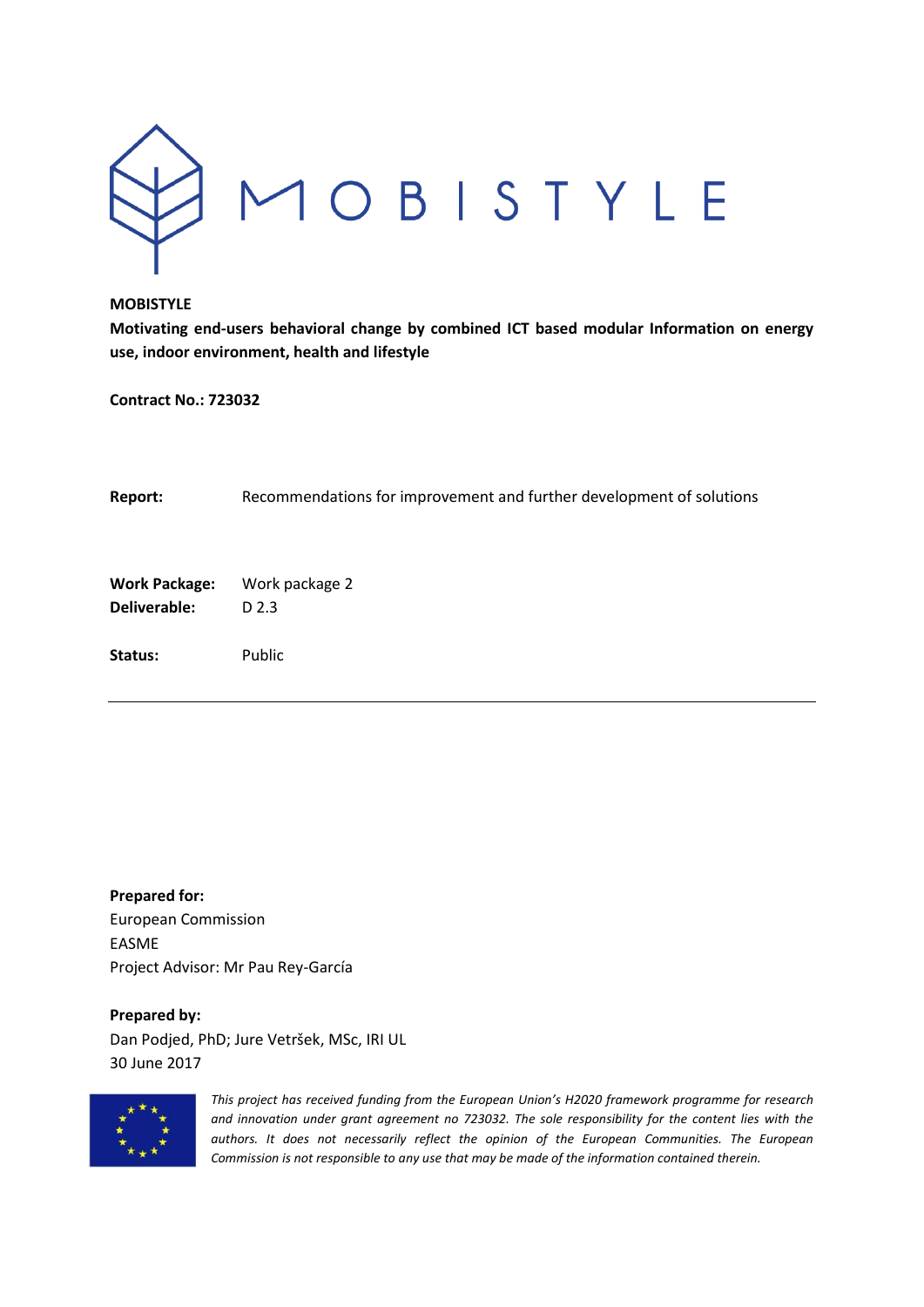

**Motivating end-users behavioral change by combined ICT based modular Information on energy use, indoor environment, health and lifestyle**

**Contract No.: 723032**

| Report:                              | Recommendations for improvement and further development of solutions |
|--------------------------------------|----------------------------------------------------------------------|
| <b>Work Package:</b><br>Deliverable: | Work package 2<br>D 2.3                                              |
| Status:                              | Public                                                               |

**Prepared for:** European Commission EASME Project Advisor: Mr Pau Rey-García

# **Prepared by:**

Dan Podjed, PhD; Jure Vetršek, MSc, IRI UL 30 June 2017



*This project has received funding from the European Union's H2020 framework programme for research and innovation under grant agreement no 723032. The sole responsibility for the content lies with the authors. It does not necessarily reflect the opinion of the European Communities. The European Commission is not responsible to any use that may be made of the information contained therein.*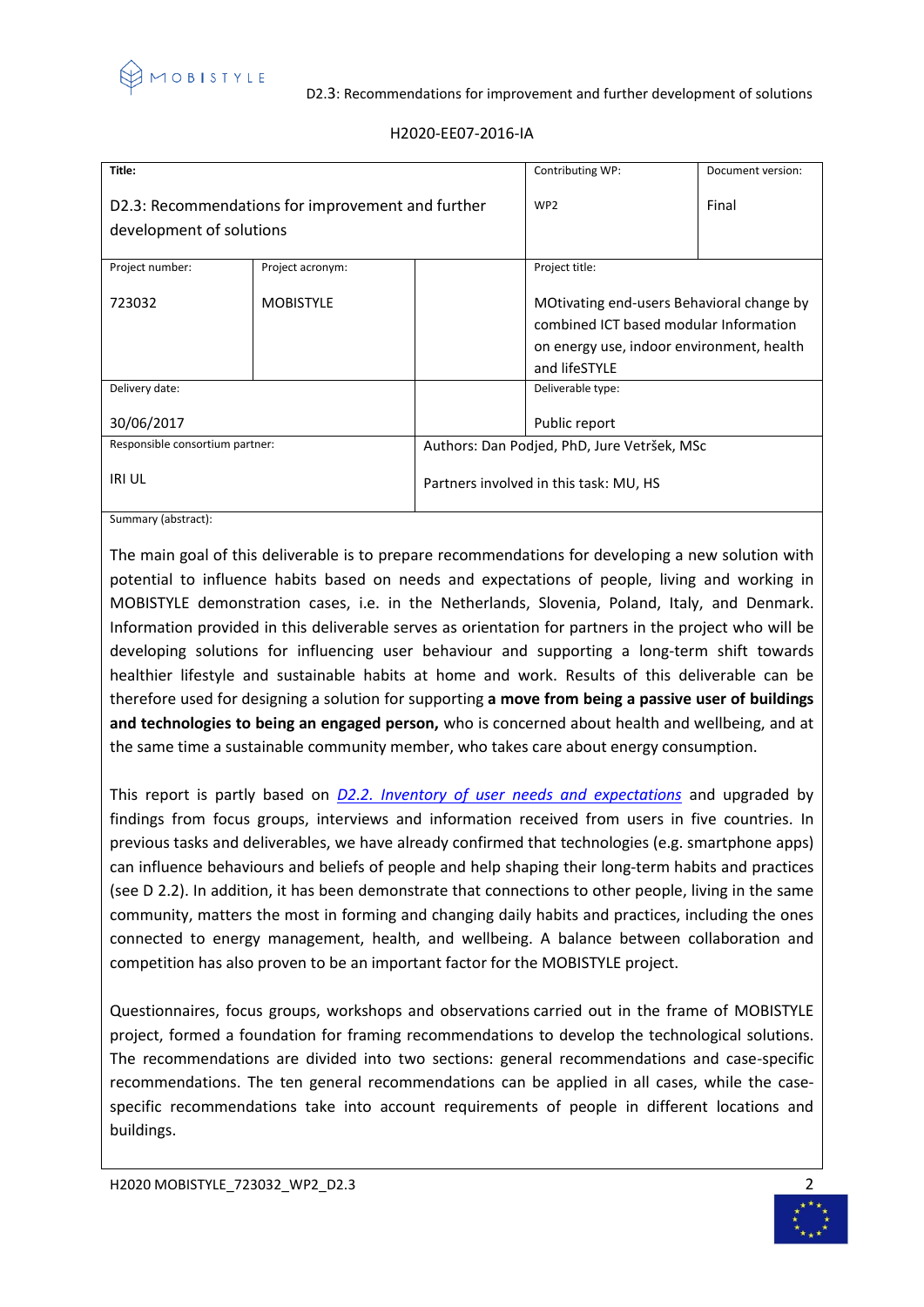

#### D2.3: Recommendations for improvement and further development of solutions

| Title:                                                                        |                  |                                             | Contributing WP:                                                                                                                                  | Document version: |
|-------------------------------------------------------------------------------|------------------|---------------------------------------------|---------------------------------------------------------------------------------------------------------------------------------------------------|-------------------|
| D2.3: Recommendations for improvement and further<br>development of solutions |                  |                                             | WP <sub>2</sub>                                                                                                                                   | Final             |
| Project number:                                                               | Project acronym: |                                             | Project title:                                                                                                                                    |                   |
| 723032                                                                        | <b>MOBISTYLE</b> |                                             | MOtivating end-users Behavioral change by<br>combined ICT based modular Information<br>on energy use, indoor environment, health<br>and lifeSTYLE |                   |
| Delivery date:                                                                |                  |                                             | Deliverable type:                                                                                                                                 |                   |
| 30/06/2017                                                                    |                  |                                             | Public report                                                                                                                                     |                   |
| Responsible consortium partner:                                               |                  | Authors: Dan Podjed, PhD, Jure Vetršek, MSc |                                                                                                                                                   |                   |
| <b>IRI UL</b>                                                                 |                  | Partners involved in this task: MU, HS      |                                                                                                                                                   |                   |

# H2020-EE07-2016-IA

Summary (abstract):

The main goal of this deliverable is to prepare recommendations for developing a new solution with potential to influence habits based on needs and expectations of people, living and working in MOBISTYLE demonstration cases, i.e. in the Netherlands, Slovenia, Poland, Italy, and Denmark. Information provided in this deliverable serves as orientation for partners in the project who will be developing solutions for influencing user behaviour and supporting a long-term shift towards healthier lifestyle and sustainable habits at home and work. Results of this deliverable can be therefore used for designing a solution for supporting **a move from being a passive user of buildings and technologies to being an engaged person,** who is concerned about health and wellbeing, and at the same time a sustainable community member, who takes care about energy consumption.

This report is partly based on *[D2.2. Inventory of user needs and expectations](https://www.mobistyle-project.org/Shared%20Documents/02%20Deliverables%20and%20periodic%20reports/01%20Submitted%20deliverables/MOBISTYLE_D2.2.pdf)* and upgraded by findings from focus groups, interviews and information received from users in five countries. In previous tasks and deliverables, we have already confirmed that technologies (e.g. smartphone apps) can influence behaviours and beliefs of people and help shaping their long-term habits and practices (see D 2.2). In addition, it has been demonstrate that connections to other people, living in the same community, matters the most in forming and changing daily habits and practices, including the ones connected to energy management, health, and wellbeing. A balance between collaboration and competition has also proven to be an important factor for the MOBISTYLE project.

Questionnaires, focus groups, workshops and observations carried out in the frame of MOBISTYLE project, formed a foundation for framing recommendations to develop the technological solutions. The recommendations are divided into two sections: general recommendations and case-specific recommendations. The ten general recommendations can be applied in all cases, while the casespecific recommendations take into account requirements of people in different locations and buildings.

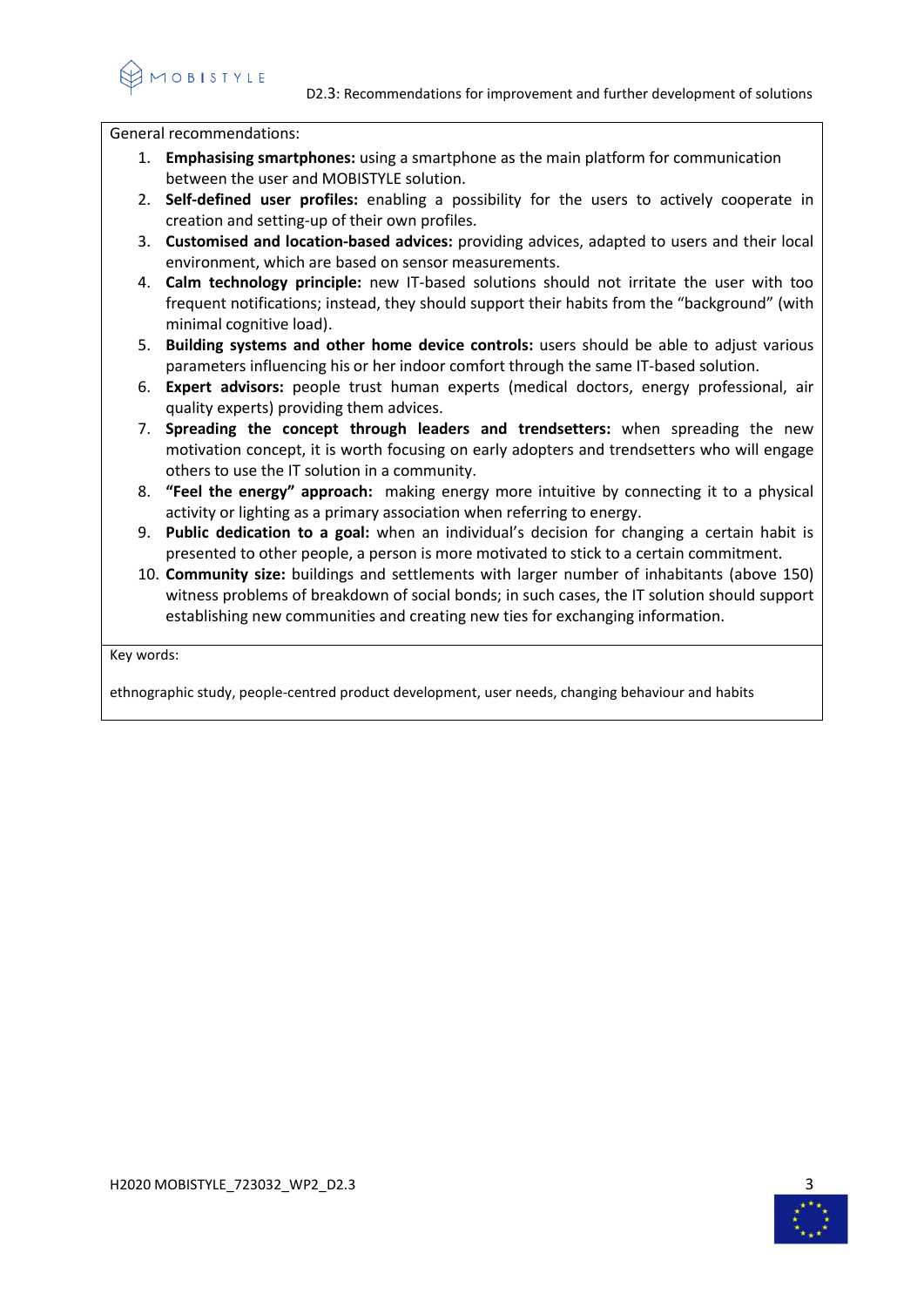10 B I S T Y L E

General recommendations:

- 1. **Emphasising smartphones:** using a smartphone as the main platform for communication between the user and MOBISTYLE solution.
- 2. **Self-defined user profiles:** enabling a possibility for the users to actively cooperate in creation and setting-up of their own profiles.
- 3. **Customised and location-based advices:** providing advices, adapted to users and their local environment, which are based on sensor measurements.
- 4. **Calm technology principle:** new IT-based solutions should not irritate the user with too frequent notifications; instead, they should support their habits from the "background" (with minimal cognitive load).
- 5. **Building systems and other home device controls:** users should be able to adjust various parameters influencing his or her indoor comfort through the same IT-based solution.
- 6. **Expert advisors:** people trust human experts (medical doctors, energy professional, air quality experts) providing them advices.
- 7. **Spreading the concept through leaders and trendsetters:** when spreading the new motivation concept, it is worth focusing on early adopters and trendsetters who will engage others to use the IT solution in a community.
- 8. **"Feel the energy" approach:** making energy more intuitive by connecting it to a physical activity or lighting as a primary association when referring to energy.
- 9. **Public dedication to a goal:** when an individual's decision for changing a certain habit is presented to other people, a person is more motivated to stick to a certain commitment.
- 10. **Community size:** buildings and settlements with larger number of inhabitants (above 150) witness problems of breakdown of social bonds; in such cases, the IT solution should support establishing new communities and creating new ties for exchanging information.

Key words:

ethnographic study, people-centred product development, user needs, changing behaviour and habits

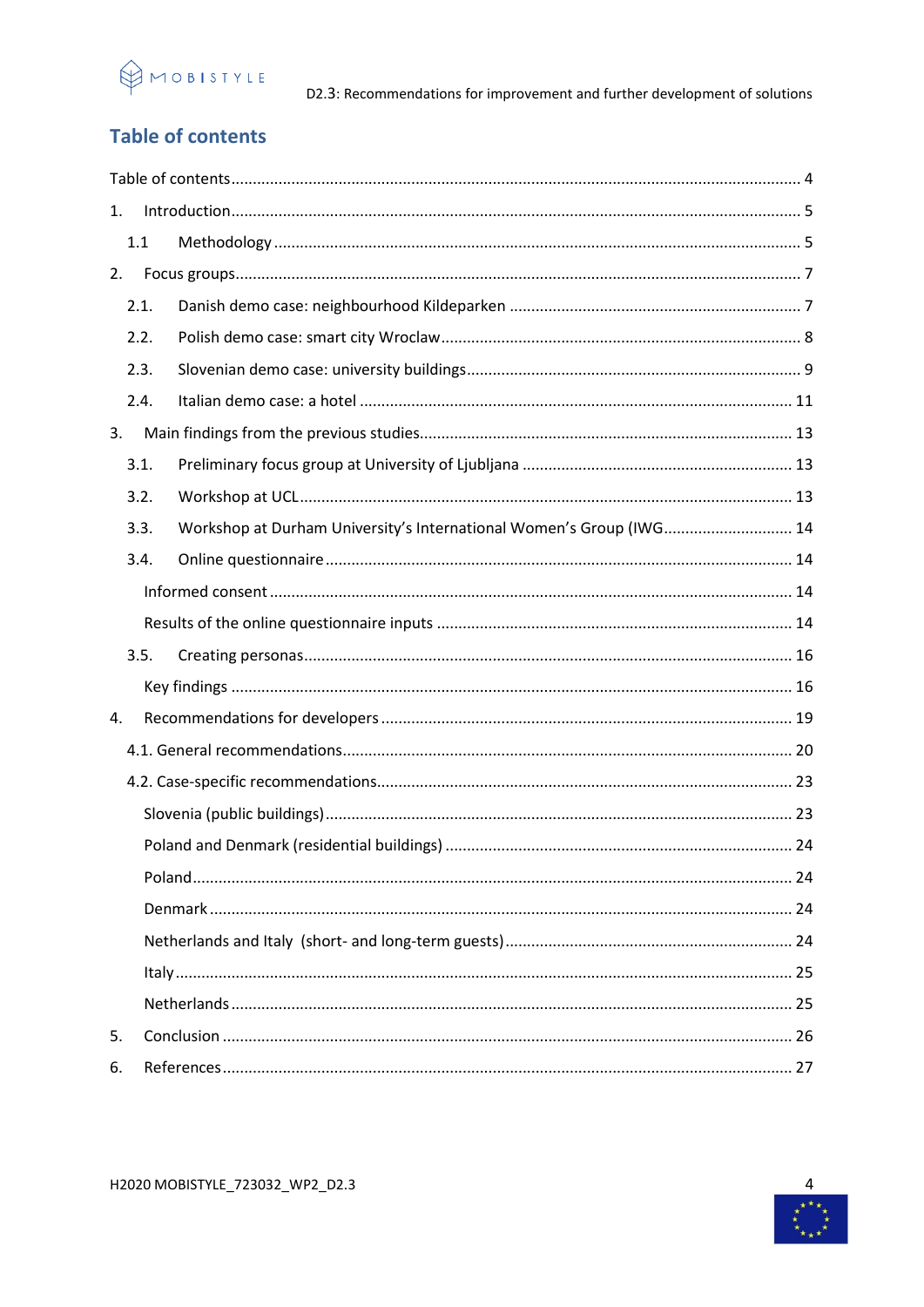

# <span id="page-3-0"></span>**Table of contents**

| 1. |      |                                                                     |  |
|----|------|---------------------------------------------------------------------|--|
|    | 1.1  |                                                                     |  |
| 2. |      |                                                                     |  |
|    | 2.1. |                                                                     |  |
|    | 2.2. |                                                                     |  |
|    | 2.3. |                                                                     |  |
|    | 2.4. |                                                                     |  |
| 3. |      |                                                                     |  |
|    | 3.1. |                                                                     |  |
|    | 3.2. |                                                                     |  |
|    | 3.3. | Workshop at Durham University's International Women's Group (IWG 14 |  |
|    | 3.4. |                                                                     |  |
|    |      |                                                                     |  |
|    |      |                                                                     |  |
|    | 3.5. |                                                                     |  |
|    |      |                                                                     |  |
| 4. |      |                                                                     |  |
|    |      |                                                                     |  |
|    |      |                                                                     |  |
|    |      |                                                                     |  |
|    |      |                                                                     |  |
|    |      |                                                                     |  |
|    |      |                                                                     |  |
|    |      |                                                                     |  |
|    |      |                                                                     |  |
|    |      |                                                                     |  |
| 5. |      |                                                                     |  |
| 6. |      |                                                                     |  |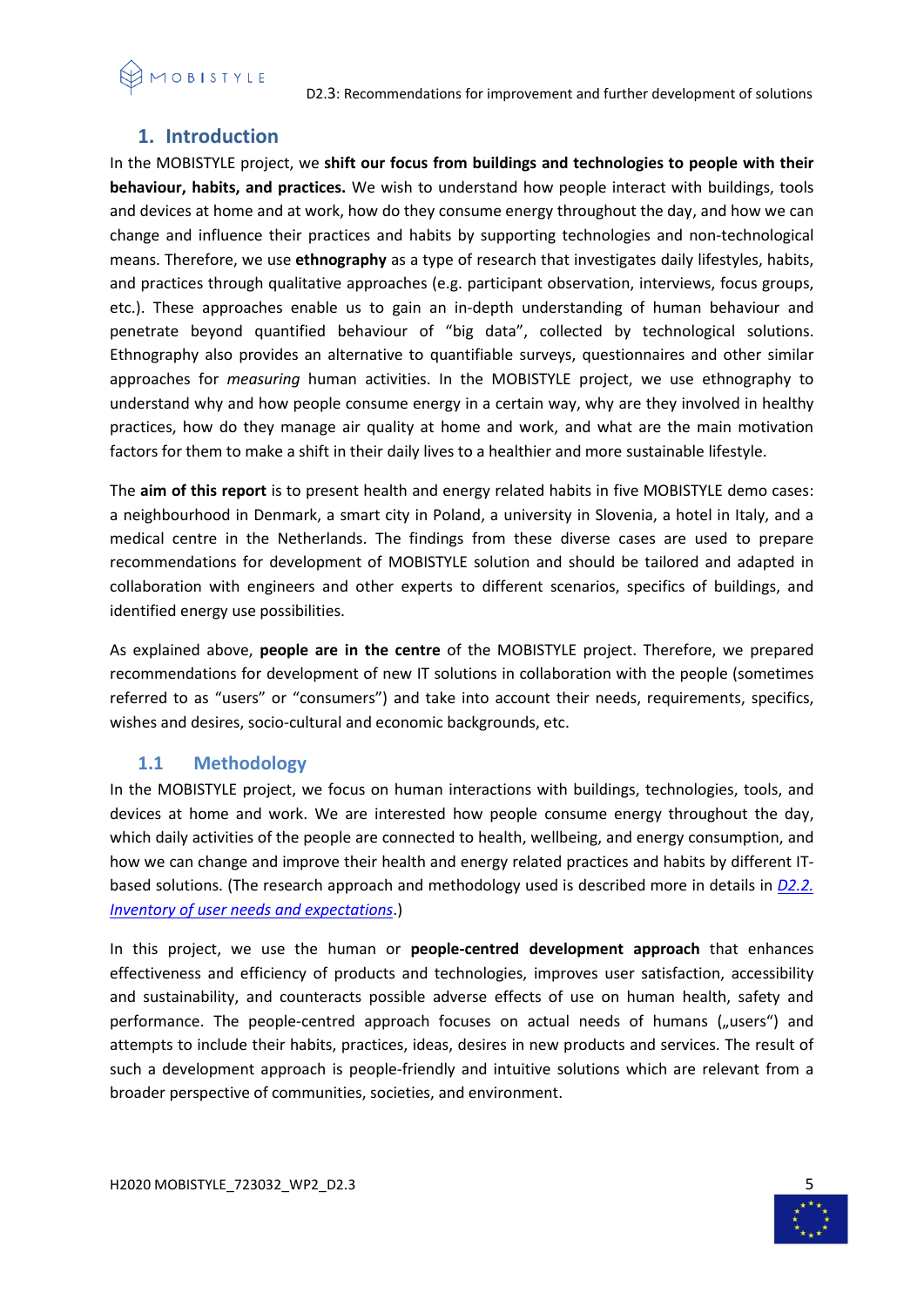

# <span id="page-4-0"></span>**1. Introduction**

In the MOBISTYLE project, we **shift our focus from buildings and technologies to people with their behaviour, habits, and practices.** We wish to understand how people interact with buildings, tools and devices at home and at work, how do they consume energy throughout the day, and how we can change and influence their practices and habits by supporting technologies and non-technological means. Therefore, we use **ethnography** as a type of research that investigates daily lifestyles, habits, and practices through qualitative approaches (e.g. participant observation, interviews, focus groups, etc.). These approaches enable us to gain an in-depth understanding of human behaviour and penetrate beyond quantified behaviour of "big data", collected by technological solutions. Ethnography also provides an alternative to quantifiable surveys, questionnaires and other similar approaches for *measuring* human activities. In the MOBISTYLE project, we use ethnography to understand why and how people consume energy in a certain way, why are they involved in healthy practices, how do they manage air quality at home and work, and what are the main motivation factors for them to make a shift in their daily lives to a healthier and more sustainable lifestyle.

The **aim of this report** is to present health and energy related habits in five MOBISTYLE demo cases: a neighbourhood in Denmark, a smart city in Poland, a university in Slovenia, a hotel in Italy, and a medical centre in the Netherlands. The findings from these diverse cases are used to prepare recommendations for development of MOBISTYLE solution and should be tailored and adapted in collaboration with engineers and other experts to different scenarios, specifics of buildings, and identified energy use possibilities.

As explained above, **people are in the centre** of the MOBISTYLE project. Therefore, we prepared recommendations for development of new IT solutions in collaboration with the people (sometimes referred to as "users" or "consumers") and take into account their needs, requirements, specifics, wishes and desires, socio-cultural and economic backgrounds, etc.

# <span id="page-4-1"></span>**1.1 Methodology**

In the MOBISTYLE project, we focus on human interactions with buildings, technologies, tools, and devices at home and work. We are interested how people consume energy throughout the day, which daily activities of the people are connected to health, wellbeing, and energy consumption, and how we can change and improve their health and energy related practices and habits by different ITbased solutions. (The research approach and methodology used is described more in details in *[D2.2.](https://www.mobistyle-project.org/Shared%20Documents/02%20Deliverables%20and%20periodic%20reports/01%20Submitted%20deliverables/MOBISTYLE_D2.2.pdf)  [Inventory of user needs and expectations](https://www.mobistyle-project.org/Shared%20Documents/02%20Deliverables%20and%20periodic%20reports/01%20Submitted%20deliverables/MOBISTYLE_D2.2.pdf)*.)

In this project, we use the human or **people-centred development approach** that enhances effectiveness and efficiency of products and technologies, improves user satisfaction, accessibility and sustainability, and counteracts possible adverse effects of use on human health, safety and performance. The people-centred approach focuses on actual needs of humans ("users") and attempts to include their habits, practices, ideas, desires in new products and services. The result of such a development approach is people-friendly and intuitive solutions which are relevant from a broader perspective of communities, societies, and environment.

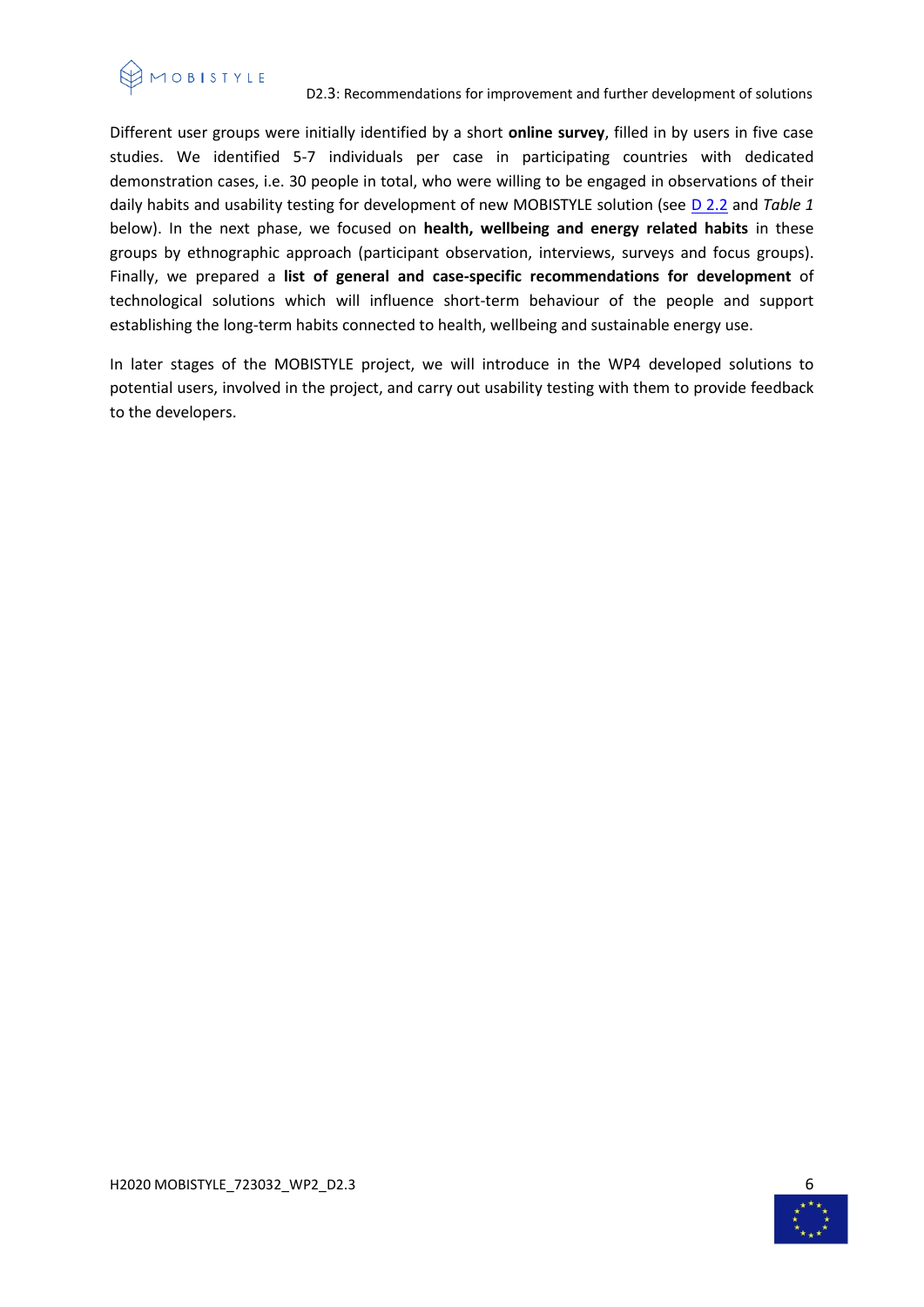

Different user groups were initially identified by a short **online survey**, filled in by users in five case studies. We identified 5-7 individuals per case in participating countries with dedicated demonstration cases, i.e. 30 people in total, who were willing to be engaged in observations of their daily habits and usability testing for development of new MOBISTYLE solution (see [D 2.2](https://www.mobistyle-project.org/Shared%20Documents/02%20Deliverables%20and%20periodic%20reports/01%20Submitted%20deliverables/MOBISTYLE_D2.2.pdf) and *Table 1* below). In the next phase, we focused on **health, wellbeing and energy related habits** in these groups by ethnographic approach (participant observation, interviews, surveys and focus groups). Finally, we prepared a **list of general and case-specific recommendations for development** of technological solutions which will influence short-term behaviour of the people and support establishing the long-term habits connected to health, wellbeing and sustainable energy use.

In later stages of the MOBISTYLE project, we will introduce in the WP4 developed solutions to potential users, involved in the project, and carry out usability testing with them to provide feedback to the developers.

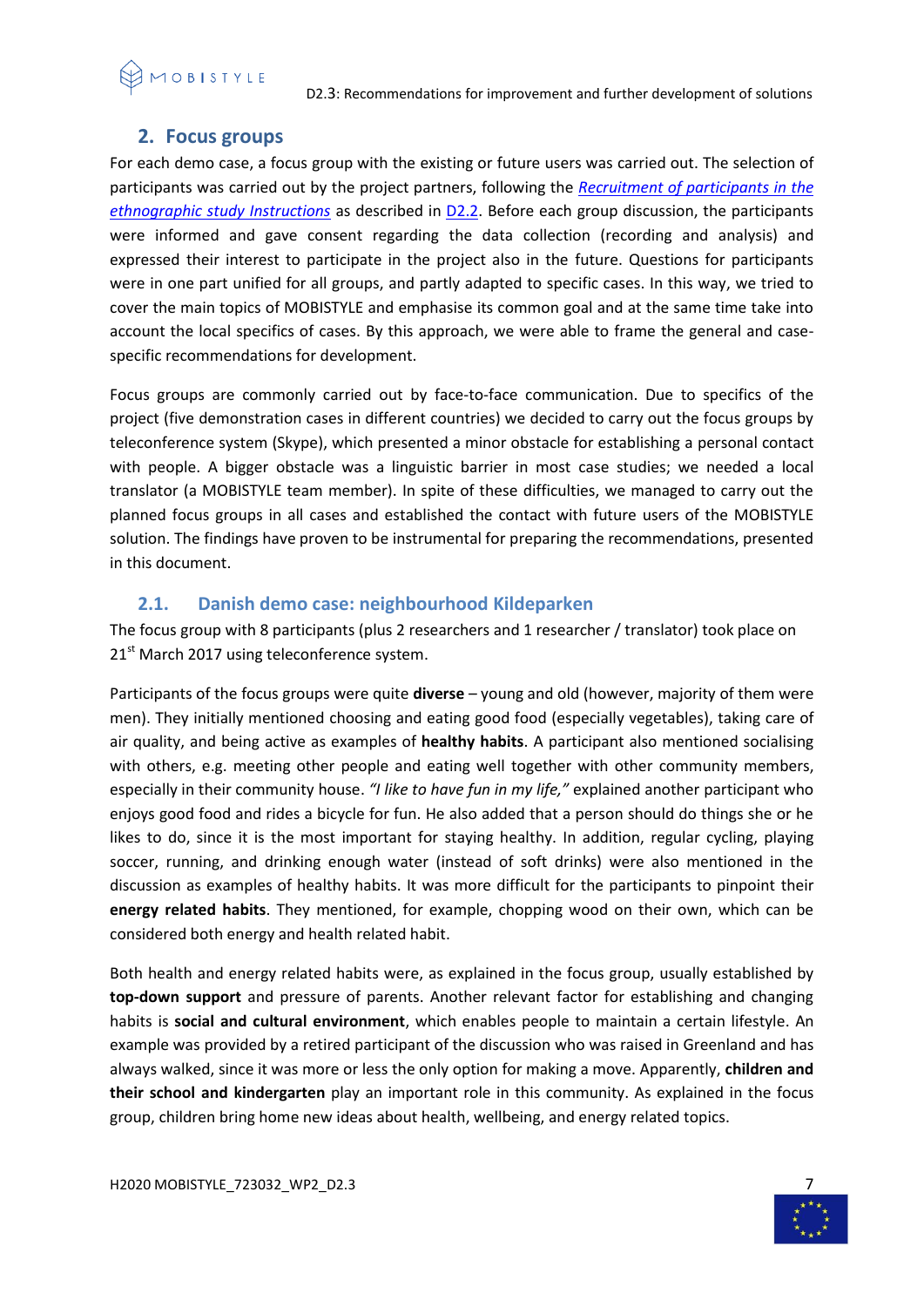

# <span id="page-6-0"></span>**2. Focus groups**

For each demo case, a focus group with the existing or future users was carried out. The selection of participants was carried out by the project partners, following the *[Recruitment of participants in the](https://www.mobistyle-project.org/Shared%20Documents/06%20WP2%20Mapping%20of%20communication%20needs%20and%20approaches/01%20Working%20documents/T2.2.%20Support%20documents/MOBISTYLE%20Recruitment%20of%20participants-draf_11_11_2016.pdf)  [ethnographic study Instructions](https://www.mobistyle-project.org/Shared%20Documents/06%20WP2%20Mapping%20of%20communication%20needs%20and%20approaches/01%20Working%20documents/T2.2.%20Support%20documents/MOBISTYLE%20Recruitment%20of%20participants-draf_11_11_2016.pdf)* as described in [D2.2.](https://www.mobistyle-project.org/Shared%20Documents/02%20Deliverables%20and%20periodic%20reports/01%20Submitted%20deliverables/MOBISTYLE_D2.2.pdf) Before each group discussion, the participants were informed and gave consent regarding the data collection (recording and analysis) and expressed their interest to participate in the project also in the future. Questions for participants were in one part unified for all groups, and partly adapted to specific cases. In this way, we tried to cover the main topics of MOBISTYLE and emphasise its common goal and at the same time take into account the local specifics of cases. By this approach, we were able to frame the general and casespecific recommendations for development.

Focus groups are commonly carried out by face-to-face communication. Due to specifics of the project (five demonstration cases in different countries) we decided to carry out the focus groups by teleconference system (Skype), which presented a minor obstacle for establishing a personal contact with people. A bigger obstacle was a linguistic barrier in most case studies; we needed a local translator (a MOBISTYLE team member). In spite of these difficulties, we managed to carry out the planned focus groups in all cases and established the contact with future users of the MOBISTYLE solution. The findings have proven to be instrumental for preparing the recommendations, presented in this document.

# **2.1. Danish demo case: neighbourhood Kildeparken**

<span id="page-6-1"></span>The focus group with 8 participants (plus 2 researchers and 1 researcher / translator) took place on 21<sup>st</sup> March 2017 using teleconference system.

Participants of the focus groups were quite **diverse** – young and old (however, majority of them were men). They initially mentioned choosing and eating good food (especially vegetables), taking care of air quality, and being active as examples of **healthy habits**. A participant also mentioned socialising with others, e.g. meeting other people and eating well together with other community members, especially in their community house. *"I like to have fun in my life,"* explained another participant who enjoys good food and rides a bicycle for fun. He also added that a person should do things she or he likes to do, since it is the most important for staying healthy. In addition, regular cycling, playing soccer, running, and drinking enough water (instead of soft drinks) were also mentioned in the discussion as examples of healthy habits. It was more difficult for the participants to pinpoint their **energy related habits**. They mentioned, for example, chopping wood on their own, which can be considered both energy and health related habit.

Both health and energy related habits were, as explained in the focus group, usually established by **top-down support** and pressure of parents. Another relevant factor for establishing and changing habits is **social and cultural environment**, which enables people to maintain a certain lifestyle. An example was provided by a retired participant of the discussion who was raised in Greenland and has always walked, since it was more or less the only option for making a move. Apparently, **children and their school and kindergarten** play an important role in this community. As explained in the focus group, children bring home new ideas about health, wellbeing, and energy related topics.

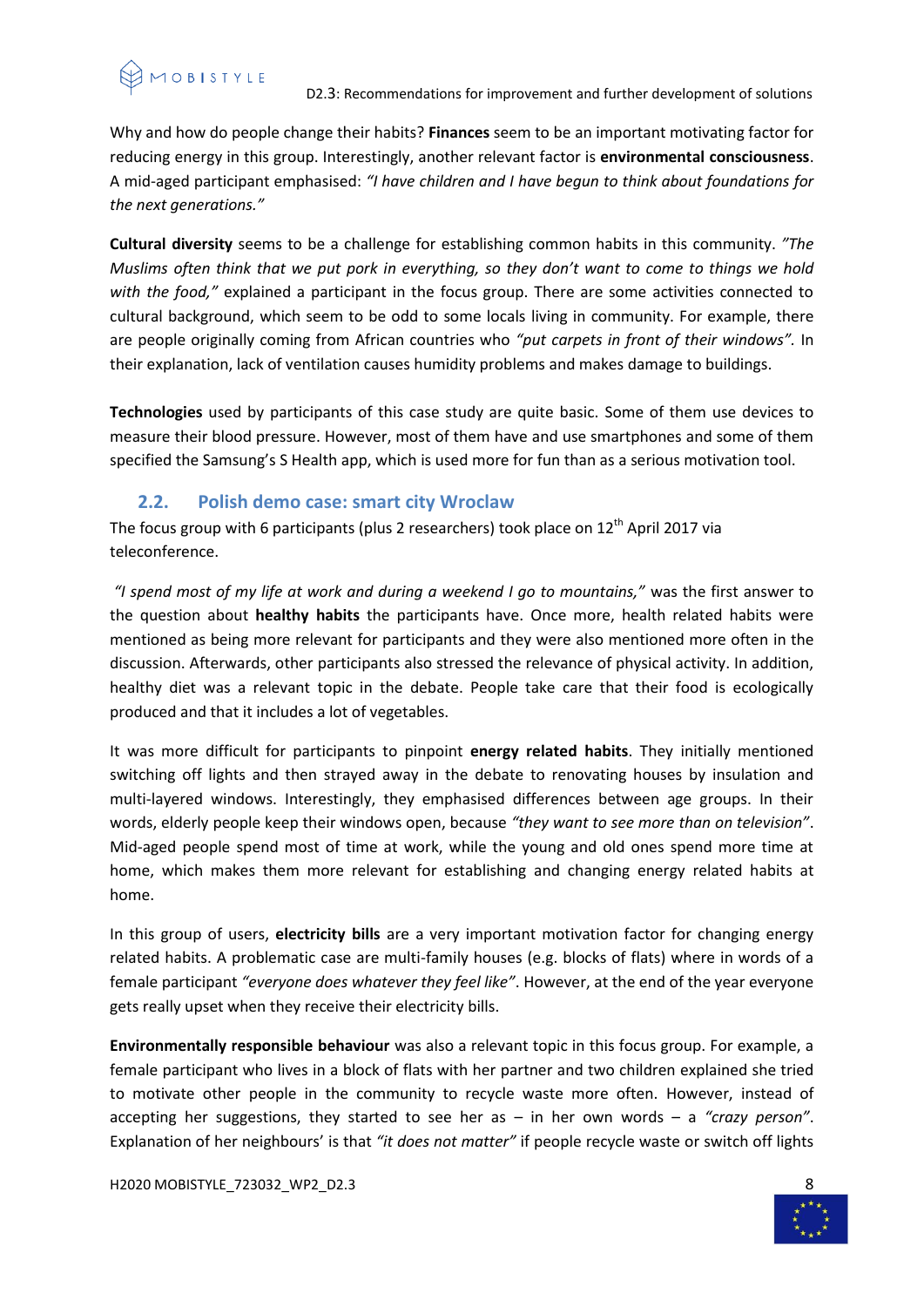Why and how do people change their habits? **Finances** seem to be an important motivating factor for reducing energy in this group. Interestingly, another relevant factor is **environmental consciousness**. A mid-aged participant emphasised: *"I have children and I have begun to think about foundations for the next generations."*

**Cultural diversity** seems to be a challenge for establishing common habits in this community. *"The Muslims often think that we put pork in everything, so they don't want to come to things we hold with the food,"* explained a participant in the focus group. There are some activities connected to cultural background, which seem to be odd to some locals living in community. For example, there are people originally coming from African countries who *"put carpets in front of their windows".* In their explanation, lack of ventilation causes humidity problems and makes damage to buildings.

**Technologies** used by participants of this case study are quite basic. Some of them use devices to measure their blood pressure. However, most of them have and use smartphones and some of them specified the Samsung's S Health app, which is used more for fun than as a serious motivation tool.

# **2.2. Polish demo case: smart city Wroclaw**

<span id="page-7-0"></span>The focus group with 6 participants (plus 2 researchers) took place on  $12<sup>th</sup>$  April 2017 via teleconference.

*"I spend most of my life at work and during a weekend I go to mountains,"* was the first answer to the question about **healthy habits** the participants have. Once more, health related habits were mentioned as being more relevant for participants and they were also mentioned more often in the discussion. Afterwards, other participants also stressed the relevance of physical activity. In addition, healthy diet was a relevant topic in the debate. People take care that their food is ecologically produced and that it includes a lot of vegetables.

It was more difficult for participants to pinpoint **energy related habits**. They initially mentioned switching off lights and then strayed away in the debate to renovating houses by insulation and multi-layered windows. Interestingly, they emphasised differences between age groups. In their words, elderly people keep their windows open, because *"they want to see more than on television"*. Mid-aged people spend most of time at work, while the young and old ones spend more time at home, which makes them more relevant for establishing and changing energy related habits at home.

In this group of users, **electricity bills** are a very important motivation factor for changing energy related habits. A problematic case are multi-family houses (e.g. blocks of flats) where in words of a female participant *"everyone does whatever they feel like"*. However, at the end of the year everyone gets really upset when they receive their electricity bills.

**Environmentally responsible behaviour** was also a relevant topic in this focus group. For example, a female participant who lives in a block of flats with her partner and two children explained she tried to motivate other people in the community to recycle waste more often. However, instead of accepting her suggestions, they started to see her as – in her own words – a *"crazy person"*. Explanation of her neighbours' is that *"it does not matter"* if people recycle waste or switch off lights

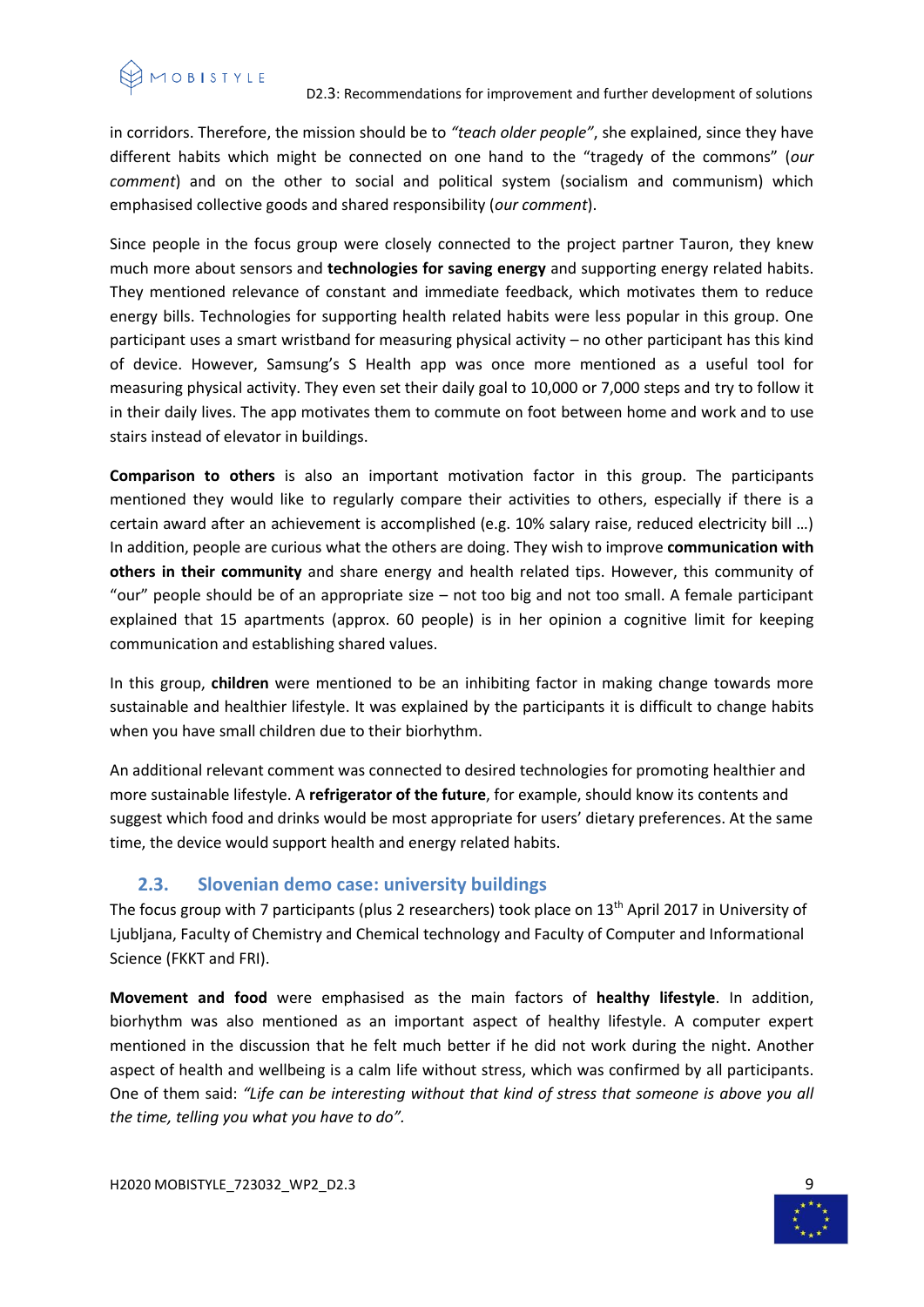

#### D2.3: Recommendations for improvement and further development of solutions

in corridors. Therefore, the mission should be to *"teach older people"*, she explained, since they have different habits which might be connected on one hand to the "tragedy of the commons" (*our comment*) and on the other to social and political system (socialism and communism) which emphasised collective goods and shared responsibility (*our comment*).

Since people in the focus group were closely connected to the project partner Tauron, they knew much more about sensors and **technologies for saving energy** and supporting energy related habits. They mentioned relevance of constant and immediate feedback, which motivates them to reduce energy bills. Technologies for supporting health related habits were less popular in this group. One participant uses a smart wristband for measuring physical activity – no other participant has this kind of device. However, Samsung's S Health app was once more mentioned as a useful tool for measuring physical activity. They even set their daily goal to 10,000 or 7,000 steps and try to follow it in their daily lives. The app motivates them to commute on foot between home and work and to use stairs instead of elevator in buildings.

**Comparison to others** is also an important motivation factor in this group. The participants mentioned they would like to regularly compare their activities to others, especially if there is a certain award after an achievement is accomplished (e.g. 10% salary raise, reduced electricity bill …) In addition, people are curious what the others are doing. They wish to improve **communication with others in their community** and share energy and health related tips. However, this community of "our" people should be of an appropriate size – not too big and not too small. A female participant explained that 15 apartments (approx. 60 people) is in her opinion a cognitive limit for keeping communication and establishing shared values.

In this group, **children** were mentioned to be an inhibiting factor in making change towards more sustainable and healthier lifestyle. It was explained by the participants it is difficult to change habits when you have small children due to their biorhythm.

An additional relevant comment was connected to desired technologies for promoting healthier and more sustainable lifestyle. A **refrigerator of the future**, for example, should know its contents and suggest which food and drinks would be most appropriate for users' dietary preferences. At the same time, the device would support health and energy related habits.

# **2.3. Slovenian demo case: university buildings**

<span id="page-8-0"></span>The focus group with 7 participants (plus 2 researchers) took place on 13<sup>th</sup> April 2017 in University of Ljubljana, Faculty of Chemistry and Chemical technology and Faculty of Computer and Informational Science (FKKT and FRI).

**Movement and food** were emphasised as the main factors of **healthy lifestyle**. In addition, biorhythm was also mentioned as an important aspect of healthy lifestyle. A computer expert mentioned in the discussion that he felt much better if he did not work during the night. Another aspect of health and wellbeing is a calm life without stress, which was confirmed by all participants. One of them said: *"Life can be interesting without that kind of stress that someone is above you all the time, telling you what you have to do".*

H2020 MOBISTYLE\_723032\_WP2\_D2.3 9

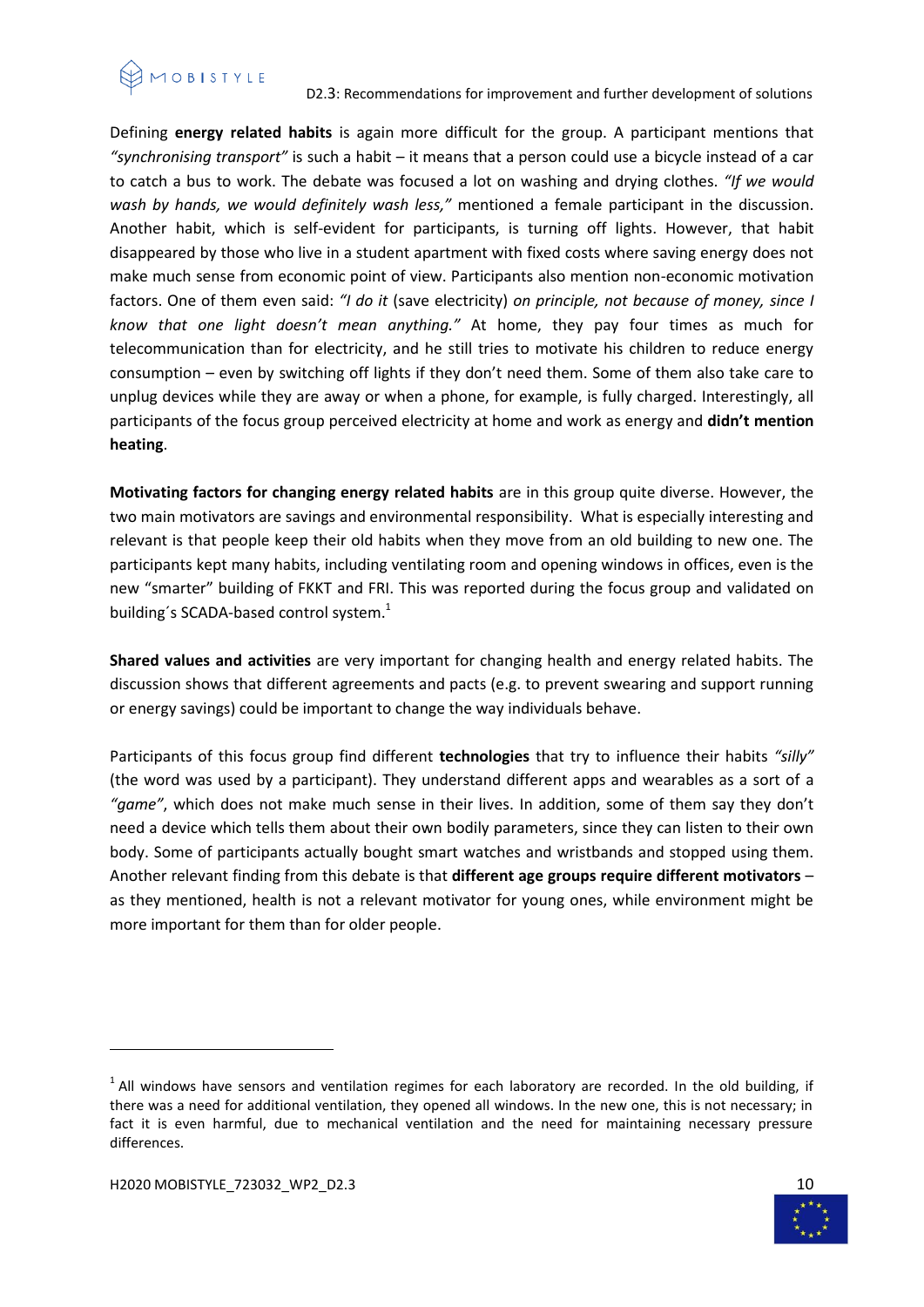

#### D2.3: Recommendations for improvement and further development of solutions

Defining **energy related habits** is again more difficult for the group. A participant mentions that *"synchronising transport"* is such a habit – it means that a person could use a bicycle instead of a car to catch a bus to work. The debate was focused a lot on washing and drying clothes. *"If we would wash by hands, we would definitely wash less,"* mentioned a female participant in the discussion. Another habit, which is self-evident for participants, is turning off lights. However, that habit disappeared by those who live in a student apartment with fixed costs where saving energy does not make much sense from economic point of view. Participants also mention non-economic motivation factors. One of them even said: *"I do it* (save electricity) *on principle, not because of money, since I know that one light doesn't mean anything."* At home, they pay four times as much for telecommunication than for electricity, and he still tries to motivate his children to reduce energy consumption – even by switching off lights if they don't need them. Some of them also take care to unplug devices while they are away or when a phone, for example, is fully charged. Interestingly, all participants of the focus group perceived electricity at home and work as energy and **didn't mention heating**.

**Motivating factors for changing energy related habits** are in this group quite diverse. However, the two main motivators are savings and environmental responsibility. What is especially interesting and relevant is that people keep their old habits when they move from an old building to new one. The participants kept many habits, including ventilating room and opening windows in offices, even is the new "smarter" building of FKKT and FRI. This was reported during the focus group and validated on building's SCADA-based control system.<sup>1</sup>

**Shared values and activities** are very important for changing health and energy related habits. The discussion shows that different agreements and pacts (e.g. to prevent swearing and support running or energy savings) could be important to change the way individuals behave.

Participants of this focus group find different **technologies** that try to influence their habits *"silly"* (the word was used by a participant). They understand different apps and wearables as a sort of a *"game"*, which does not make much sense in their lives. In addition, some of them say they don't need a device which tells them about their own bodily parameters, since they can listen to their own body. Some of participants actually bought smart watches and wristbands and stopped using them. Another relevant finding from this debate is that **different age groups require different motivators** – as they mentioned, health is not a relevant motivator for young ones, while environment might be more important for them than for older people.

 $\overline{a}$ 



 $<sup>1</sup>$  All windows have sensors and ventilation regimes for each laboratory are recorded. In the old building, if</sup> there was a need for additional ventilation, they opened all windows. In the new one, this is not necessary; in fact it is even harmful, due to mechanical ventilation and the need for maintaining necessary pressure differences.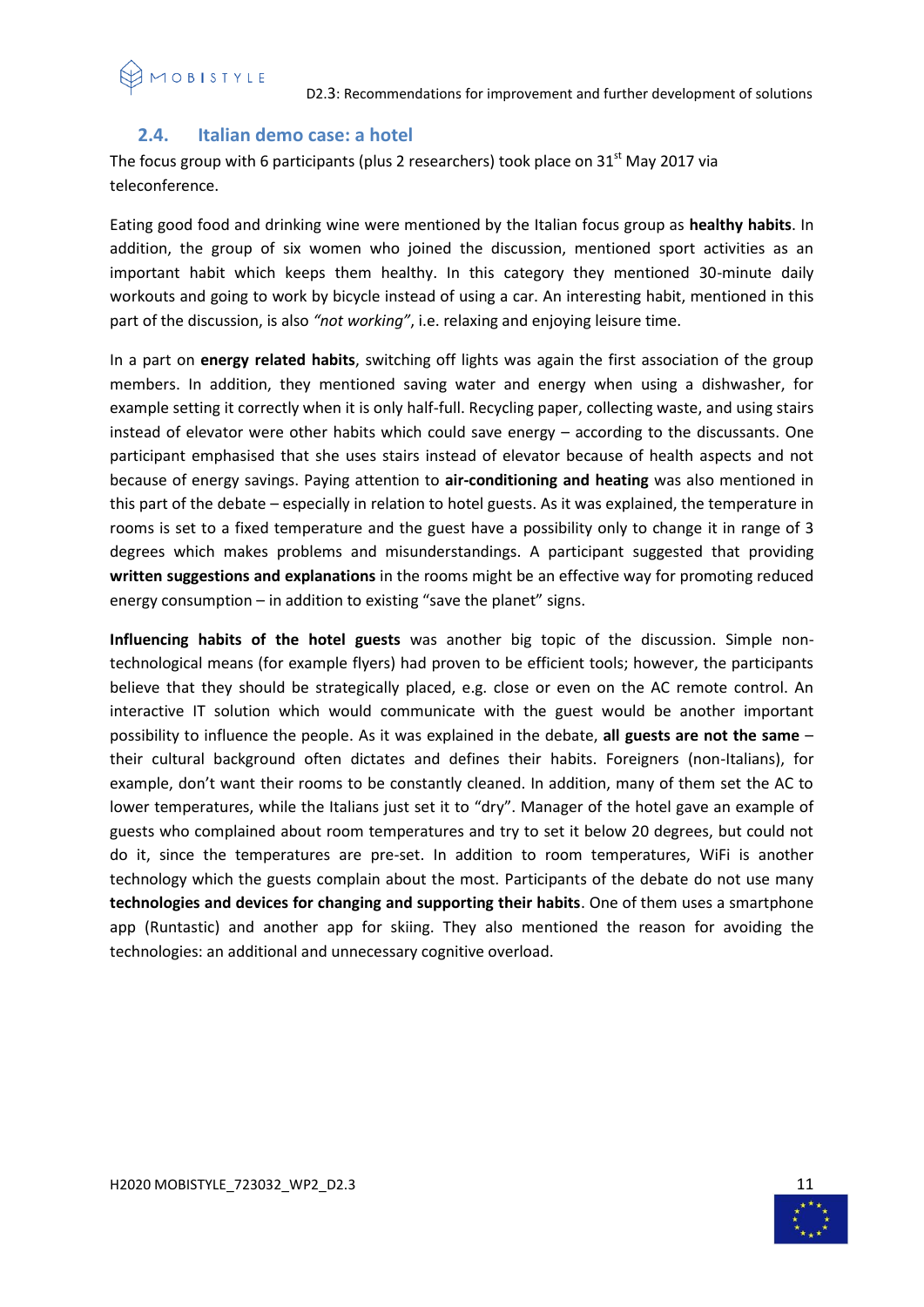# <span id="page-10-0"></span>**2.4. Italian demo case: a hotel**

The focus group with 6 participants (plus 2 researchers) took place on  $31<sup>st</sup>$  May 2017 via teleconference.

Eating good food and drinking wine were mentioned by the Italian focus group as **healthy habits**. In addition, the group of six women who joined the discussion, mentioned sport activities as an important habit which keeps them healthy. In this category they mentioned 30-minute daily workouts and going to work by bicycle instead of using a car. An interesting habit, mentioned in this part of the discussion, is also *"not working"*, i.e. relaxing and enjoying leisure time.

In a part on **energy related habits**, switching off lights was again the first association of the group members. In addition, they mentioned saving water and energy when using a dishwasher, for example setting it correctly when it is only half-full. Recycling paper, collecting waste, and using stairs instead of elevator were other habits which could save energy – according to the discussants. One participant emphasised that she uses stairs instead of elevator because of health aspects and not because of energy savings. Paying attention to **air-conditioning and heating** was also mentioned in this part of the debate – especially in relation to hotel guests. As it was explained, the temperature in rooms is set to a fixed temperature and the guest have a possibility only to change it in range of 3 degrees which makes problems and misunderstandings. A participant suggested that providing **written suggestions and explanations** in the rooms might be an effective way for promoting reduced energy consumption – in addition to existing "save the planet" signs.

**Influencing habits of the hotel guests** was another big topic of the discussion. Simple nontechnological means (for example flyers) had proven to be efficient tools; however, the participants believe that they should be strategically placed, e.g. close or even on the AC remote control. An interactive IT solution which would communicate with the guest would be another important possibility to influence the people. As it was explained in the debate, **all guests are not the same** – their cultural background often dictates and defines their habits. Foreigners (non-Italians), for example, don't want their rooms to be constantly cleaned. In addition, many of them set the AC to lower temperatures, while the Italians just set it to "dry". Manager of the hotel gave an example of guests who complained about room temperatures and try to set it below 20 degrees, but could not do it, since the temperatures are pre-set. In addition to room temperatures, WiFi is another technology which the guests complain about the most. Participants of the debate do not use many **technologies and devices for changing and supporting their habits**. One of them uses a smartphone app (Runtastic) and another app for skiing. They also mentioned the reason for avoiding the technologies: an additional and unnecessary cognitive overload.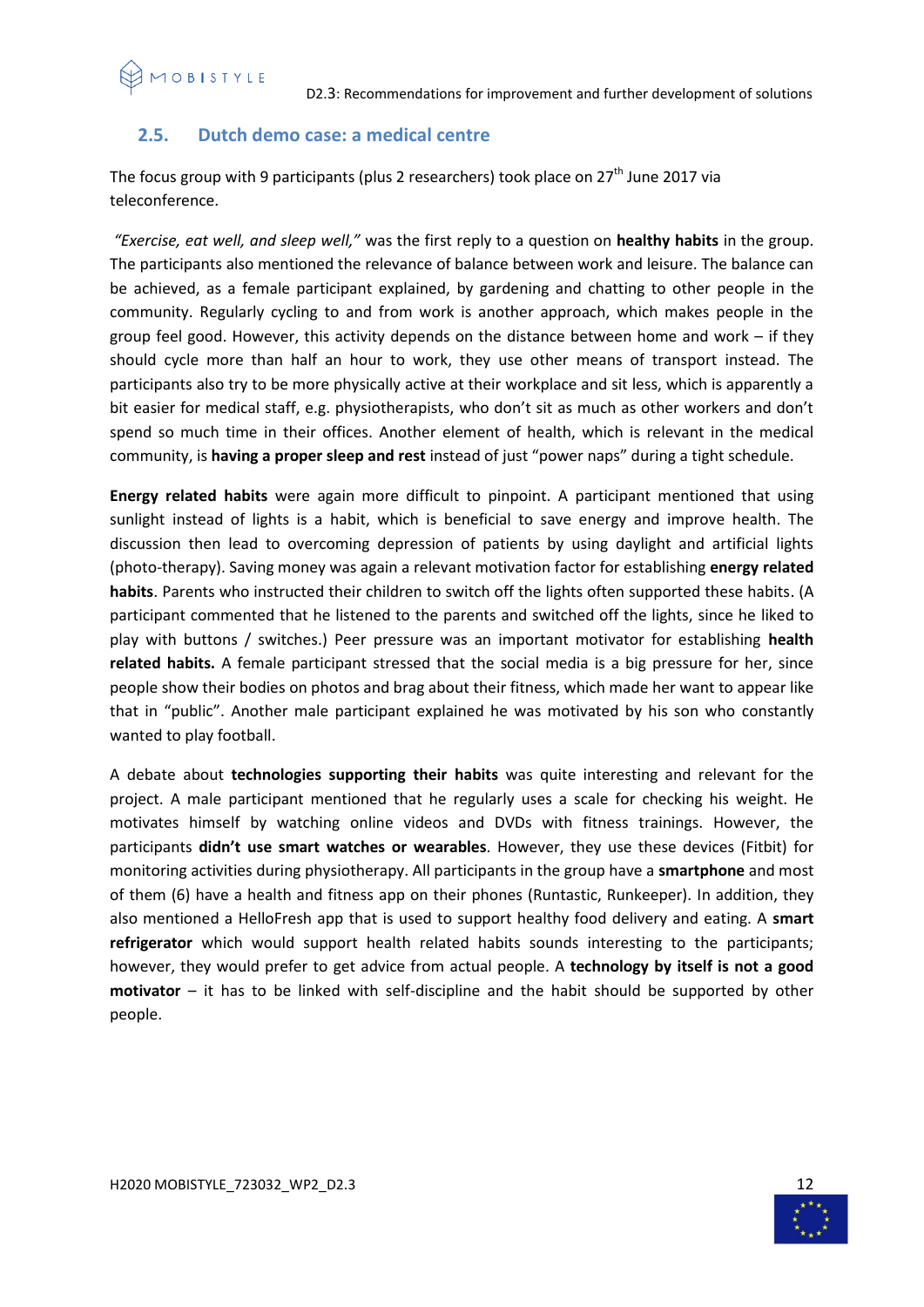# **2.5. Dutch demo case: a medical centre**

The focus group with 9 participants (plus 2 researchers) took place on  $27<sup>th</sup>$  June 2017 via teleconference.

*"Exercise, eat well, and sleep well,"* was the first reply to a question on **healthy habits** in the group. The participants also mentioned the relevance of balance between work and leisure. The balance can be achieved, as a female participant explained, by gardening and chatting to other people in the community. Regularly cycling to and from work is another approach, which makes people in the group feel good. However, this activity depends on the distance between home and work – if they should cycle more than half an hour to work, they use other means of transport instead. The participants also try to be more physically active at their workplace and sit less, which is apparently a bit easier for medical staff, e.g. physiotherapists, who don't sit as much as other workers and don't spend so much time in their offices. Another element of health, which is relevant in the medical community, is **having a proper sleep and rest** instead of just "power naps" during a tight schedule.

**Energy related habits** were again more difficult to pinpoint. A participant mentioned that using sunlight instead of lights is a habit, which is beneficial to save energy and improve health. The discussion then lead to overcoming depression of patients by using daylight and artificial lights (photo-therapy). Saving money was again a relevant motivation factor for establishing **energy related habits**. Parents who instructed their children to switch off the lights often supported these habits. (A participant commented that he listened to the parents and switched off the lights, since he liked to play with buttons / switches.) Peer pressure was an important motivator for establishing **health related habits.** A female participant stressed that the social media is a big pressure for her, since people show their bodies on photos and brag about their fitness, which made her want to appear like that in "public". Another male participant explained he was motivated by his son who constantly wanted to play football.

A debate about **technologies supporting their habits** was quite interesting and relevant for the project. A male participant mentioned that he regularly uses a scale for checking his weight. He motivates himself by watching online videos and DVDs with fitness trainings. However, the participants **didn't use smart watches or wearables**. However, they use these devices (Fitbit) for monitoring activities during physiotherapy. All participants in the group have a **smartphone** and most of them (6) have a health and fitness app on their phones (Runtastic, Runkeeper). In addition, they also mentioned a HelloFresh app that is used to support healthy food delivery and eating. A **smart refrigerator** which would support health related habits sounds interesting to the participants; however, they would prefer to get advice from actual people. A **technology by itself is not a good motivator** – it has to be linked with self-discipline and the habit should be supported by other people.

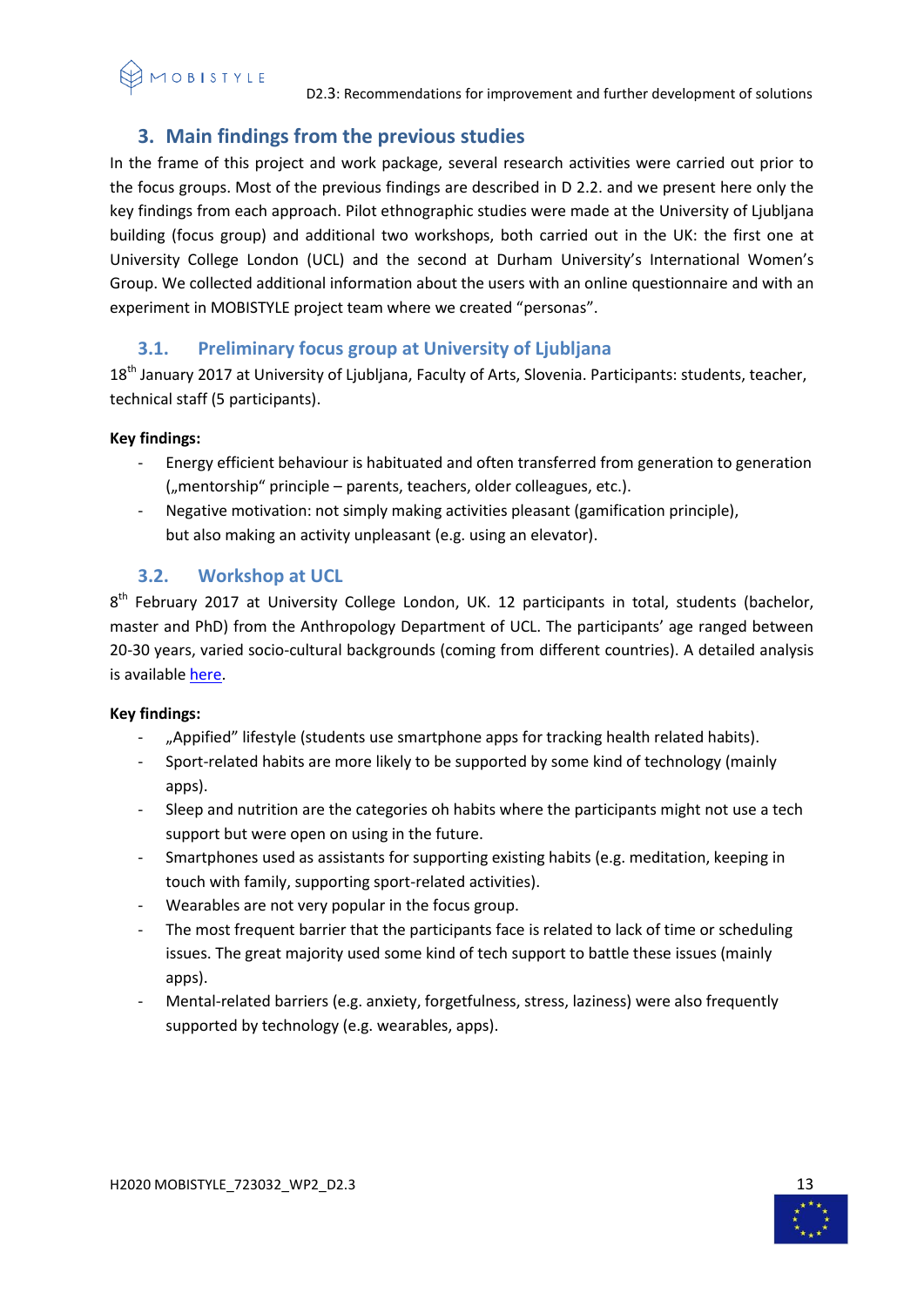# <span id="page-12-0"></span>**3. Main findings from the previous studies**

In the frame of this project and work package, several research activities were carried out prior to the focus groups. Most of the previous findings are described in D 2.2. and we present here only the key findings from each approach. Pilot ethnographic studies were made at the University of Ljubljana building (focus group) and additional two workshops, both carried out in the UK: the first one at University College London (UCL) and the second at Durham University's International Women's Group. We collected additional information about the users with an online questionnaire and with an experiment in MOBISTYLE project team where we created "personas".

# **3.1. Preliminary focus group at University of Ljubljana**

<span id="page-12-1"></span>18<sup>th</sup> January 2017 at University of Ljubljana, Faculty of Arts, Slovenia. Participants: students, teacher, technical staff (5 participants).

# **Key findings:**

- Energy efficient behaviour is habituated and often transferred from generation to generation  $($ "mentorship" principle – parents, teachers, older colleagues, etc.).
- Negative motivation: not simply making activities pleasant (gamification principle), but also making an activity unpleasant (e.g. using an elevator).

# **3.2. Workshop at UCL**

<span id="page-12-2"></span>8<sup>th</sup> February 2017 at University College London, UK. 12 participants in total, students (bachelor, master and PhD) from the Anthropology Department of UCL. The participants' age ranged between 20-30 years, varied socio-cultural backgrounds (coming from different countries). A detailed analysis is available [here.](https://www.mobistyle-project.org/Shared%20Documents/06%20WP2%20Mapping%20of%20communication%20needs%20and%20approaches/01%20Working%20documents/T2.2.%20Support%20documents/Workshop%20UCL%2017-2-8%20ANALYSIS.docx)

# **Key findings:**

- "Appified" lifestyle (students use smartphone apps for tracking health related habits).
- Sport-related habits are more likely to be supported by some kind of technology (mainly apps).
- Sleep and nutrition are the categories oh habits where the participants might not use a tech support but were open on using in the future.
- Smartphones used as assistants for supporting existing habits (e.g. meditation, keeping in touch with family, supporting sport-related activities).
- Wearables are not very popular in the focus group.
- The most frequent barrier that the participants face is related to lack of time or scheduling issues. The great majority used some kind of tech support to battle these issues (mainly apps).
- Mental-related barriers (e.g. anxiety, forgetfulness, stress, laziness) were also frequently supported by technology (e.g. wearables, apps).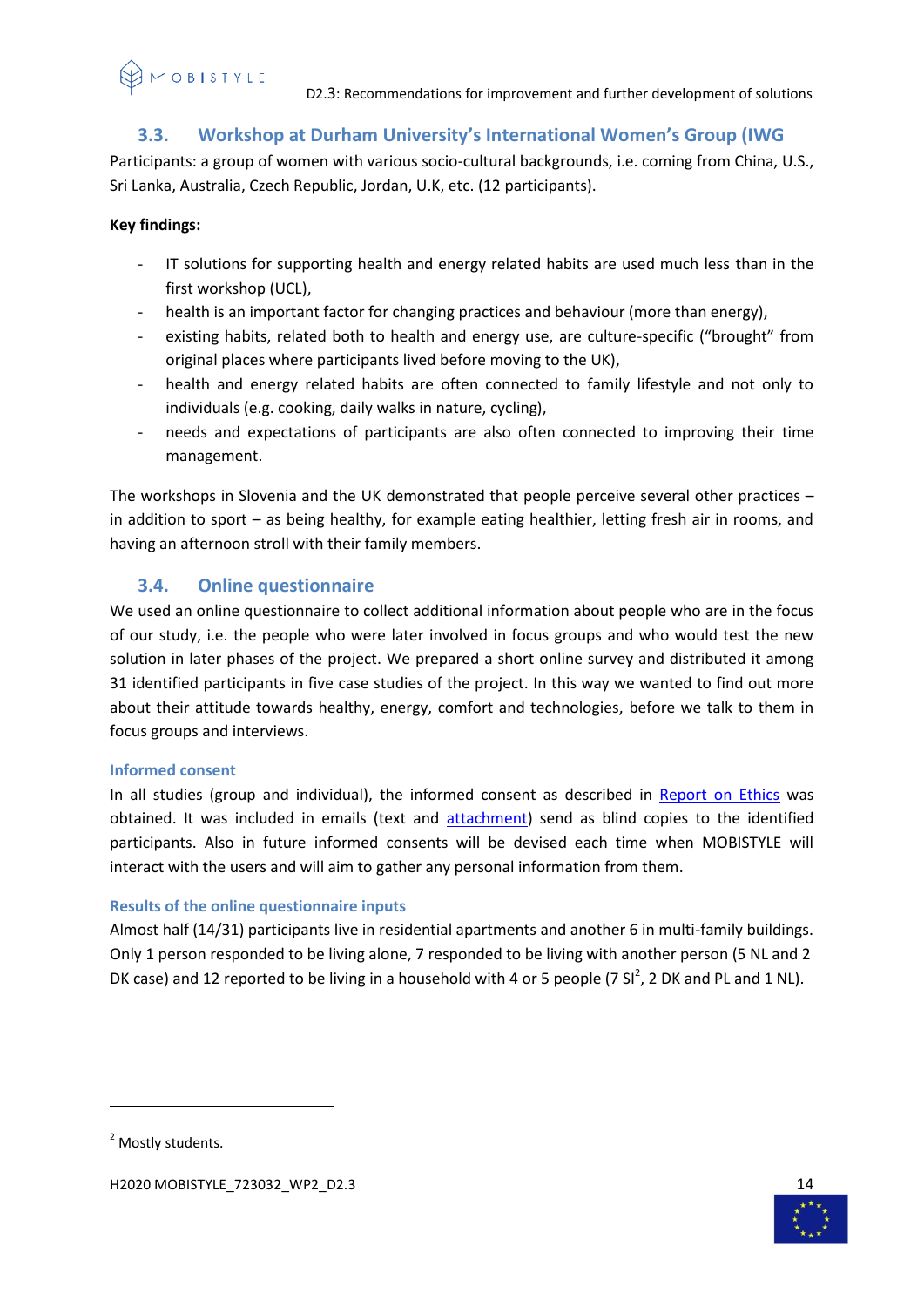# **3.3. Workshop at Durham University's International Women's Group (IWG**

<span id="page-13-0"></span>Participants: a group of women with various socio-cultural backgrounds, i.e. coming from China, U.S., Sri Lanka, Australia, Czech Republic, Jordan, U.K, etc. (12 participants).

# **Key findings:**

- IT solutions for supporting health and energy related habits are used much less than in the first workshop (UCL),
- health is an important factor for changing practices and behaviour (more than energy),
- existing habits, related both to health and energy use, are culture-specific ("brought" from original places where participants lived before moving to the UK),
- health and energy related habits are often connected to family lifestyle and not only to individuals (e.g. cooking, daily walks in nature, cycling),
- needs and expectations of participants are also often connected to improving their time management.

The workshops in Slovenia and the UK demonstrated that people perceive several other practices – in addition to sport – as being healthy, for example eating healthier, letting fresh air in rooms, and having an afternoon stroll with their family members.

# <span id="page-13-1"></span>**3.4. Online questionnaire**

We used an online questionnaire to collect additional information about people who are in the focus of our study, i.e. the people who were later involved in focus groups and who would test the new solution in later phases of the project. We prepared a short online survey and distributed it among 31 identified participants in five case studies of the project. In this way we wanted to find out more about their attitude towards healthy, energy, comfort and technologies, before we talk to them in focus groups and interviews.

# <span id="page-13-2"></span>**Informed consent**

In all studies (group and individual), the informed consent as described in [Report on Ethics](https://www.mobistyle-project.org/Shared%20Documents/12%20WP8%20Ethics%20in%20MOBISTYLE/02%20Deliverables/MOBISTYLE_D8.1_revised%20version.docx) was obtained. It was included in emails (text and [attachment\)](https://www.mobistyle-project.org/Shared%20Documents/06%20WP2%20Mapping%20of%20communication%20needs%20and%20approaches/01%20Working%20documents/T2.2.%20Support%20documents/MOBISTYLE_Informed%20consent%2017-1-31.docx) send as blind copies to the identified participants. Also in future informed consents will be devised each time when MOBISTYLE will interact with the users and will aim to gather any personal information from them.

# <span id="page-13-3"></span>**Results of the online questionnaire inputs**

Almost half (14/31) participants live in residential apartments and another 6 in multi-family buildings. Only 1 person responded to be living alone, 7 responded to be living with another person (5 NL and 2 DK case) and 12 reported to be living in a household with 4 or 5 people (7 SI<sup>2</sup>, 2 DK and PL and 1 NL).

**.** 



<sup>&</sup>lt;sup>2</sup> Mostly students.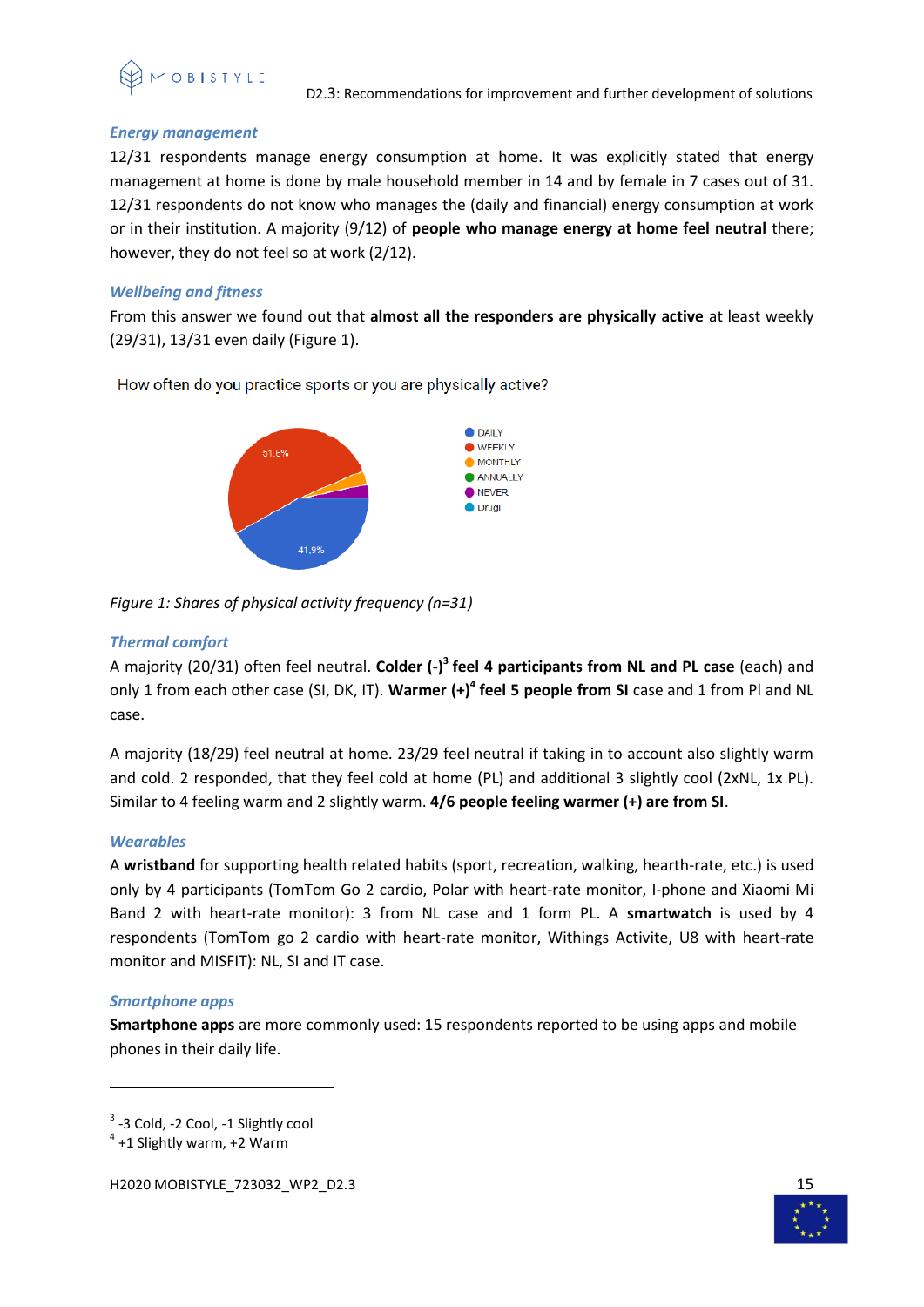

# *Energy management*

12/31 respondents manage energy consumption at home. It was explicitly stated that energy management at home is done by male household member in 14 and by female in 7 cases out of 31. 12/31 respondents do not know who manages the (daily and financial) energy consumption at work or in their institution. A majority (9/12) of **people who manage energy at home feel neutral** there; however, they do not feel so at work (2/12).

# *Wellbeing and fitness*

From this answer we found out that **almost all the responders are physically active** at least weekly (29/31), 13/31 even daily (Figure 1).

How often do you practice sports or you are physically active?



*Figure 1: Shares of physical activity frequency (n=31)*

# *Thermal comfort*

A majority (20/31) often feel neutral. **Colder (-) 3 feel 4 participants from NL and PL case** (each) and only 1 from each other case (SI, DK, IT). **Warmer (+)<sup>4</sup> feel 5 people from SI** case and 1 from Pl and NL case.

A majority (18/29) feel neutral at home. 23/29 feel neutral if taking in to account also slightly warm and cold. 2 responded, that they feel cold at home (PL) and additional 3 slightly cool (2xNL, 1x PL). Similar to 4 feeling warm and 2 slightly warm. **4/6 people feeling warmer (+) are from SI**.

# *Wearables*

A **wristband** for supporting health related habits (sport, recreation, walking, hearth-rate, etc.) is used only by 4 participants (TomTom Go 2 cardio, Polar with heart-rate monitor, I-phone and Xiaomi Mi Band 2 with heart-rate monitor): 3 from NL case and 1 form PL. A **smartwatch** is used by 4 respondents (TomTom go 2 cardio with heart-rate monitor, Withings Activite, U8 with heart-rate monitor and MISFIT): NL, SI and IT case.

# *Smartphone apps*

 $\overline{a}$ 

**Smartphone apps** are more commonly used: 15 respondents reported to be using apps and mobile phones in their daily life.



<sup>&</sup>lt;sup>3</sup> -3 Cold, -2 Cool, -1 Slightly cool

 $4$  +1 Slightly warm, +2 Warm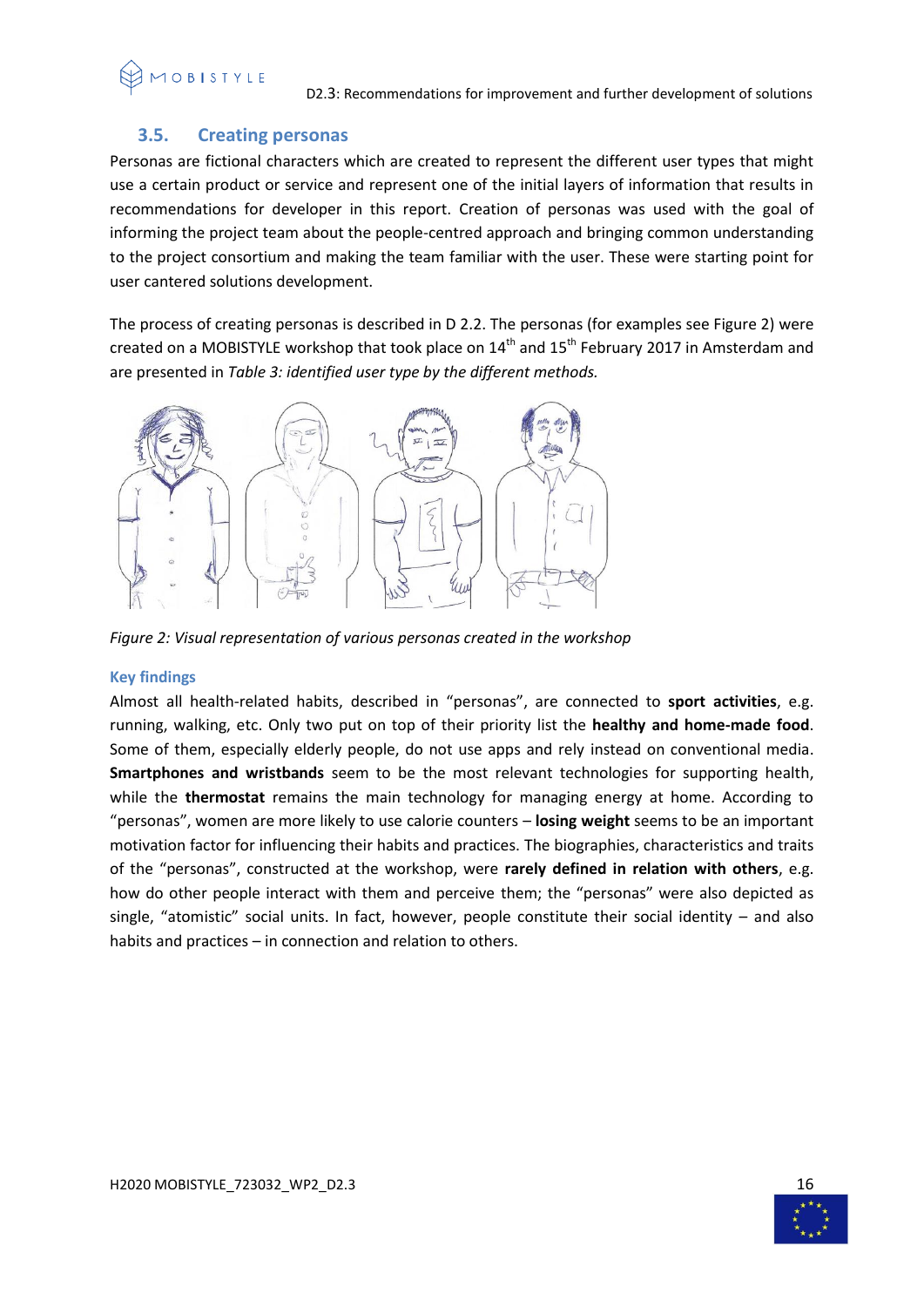# 1 O B I S T Y L E

# **3.5. Creating personas**

<span id="page-15-0"></span>Personas are fictional characters which are created to represent the different user types that might use a certain product or service and represent one of the initial layers of information that results in recommendations for developer in this report. Creation of personas was used with the goal of informing the project team about the people-centred approach and bringing common understanding to the project consortium and making the team familiar with the user. These were starting point for user cantered solutions development.

The process of creating personas is described in D 2.2. The personas (for examples see Figure 2) were created on a MOBISTYLE workshop that took place on  $14<sup>th</sup>$  and  $15<sup>th</sup>$  February 2017 in Amsterdam and are presented in *Table 3: identified user type by the different methods.*



*Figure 2: Visual representation of various personas created in the workshop*

# <span id="page-15-1"></span>**Key findings**

Almost all health-related habits, described in "personas", are connected to **sport activities**, e.g. running, walking, etc. Only two put on top of their priority list the **healthy and home-made food**. Some of them, especially elderly people, do not use apps and rely instead on conventional media. **Smartphones and wristbands** seem to be the most relevant technologies for supporting health, while the **thermostat** remains the main technology for managing energy at home. According to "personas", women are more likely to use calorie counters – **losing weight** seems to be an important motivation factor for influencing their habits and practices. The biographies, characteristics and traits of the "personas", constructed at the workshop, were **rarely defined in relation with others**, e.g. how do other people interact with them and perceive them; the "personas" were also depicted as single, "atomistic" social units. In fact, however, people constitute their social identity – and also habits and practices – in connection and relation to others.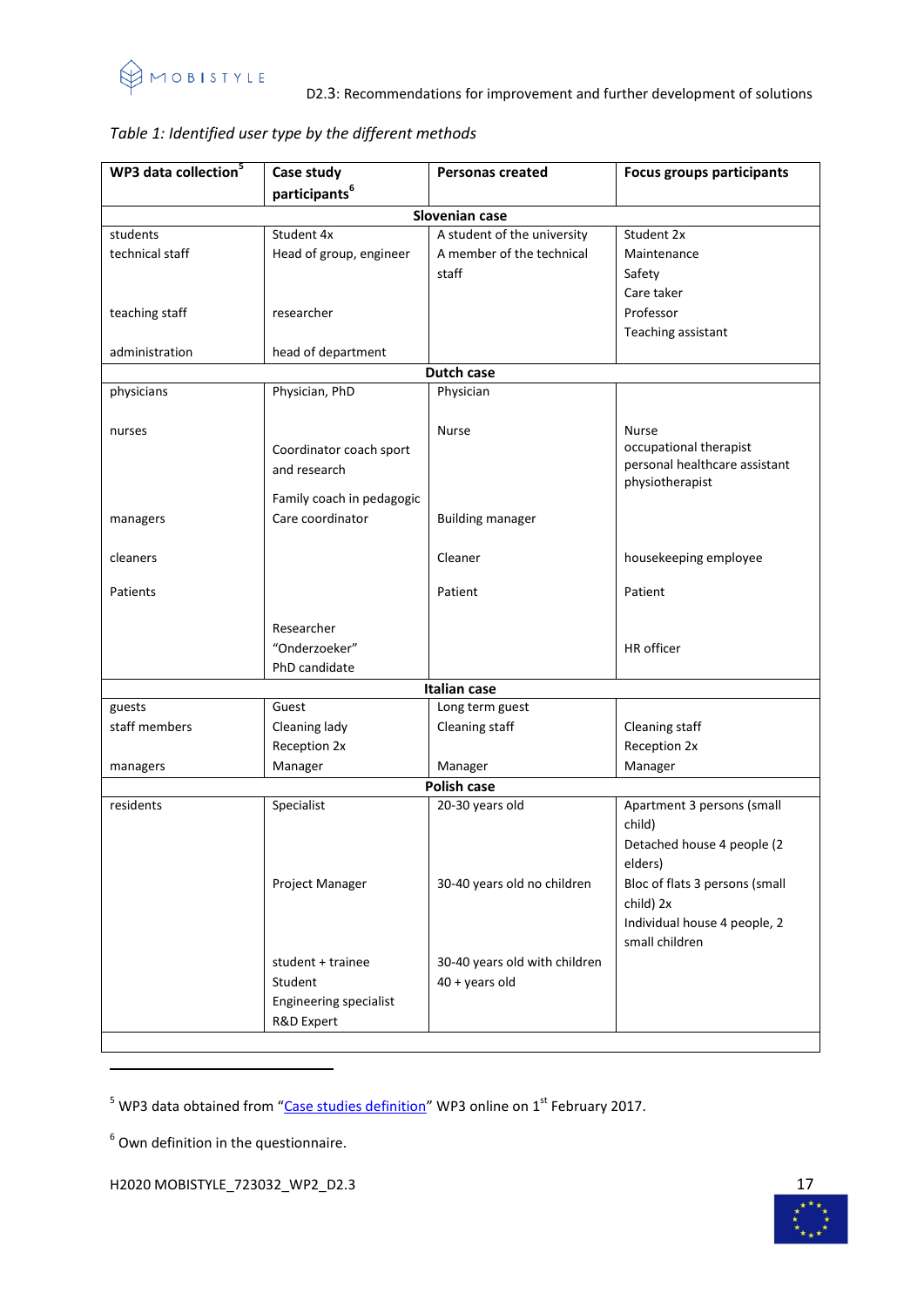

| WP3 data collection <sup>5</sup> | Case study                    | <b>Personas created</b>       | <b>Focus groups participants</b>                 |  |  |
|----------------------------------|-------------------------------|-------------------------------|--------------------------------------------------|--|--|
|                                  | participants <sup>6</sup>     |                               |                                                  |  |  |
| Slovenian case                   |                               |                               |                                                  |  |  |
| students                         | Student 4x                    | A student of the university   | Student 2x                                       |  |  |
| technical staff                  | Head of group, engineer       | A member of the technical     | Maintenance                                      |  |  |
|                                  |                               | staff                         | Safety                                           |  |  |
|                                  |                               |                               | Care taker                                       |  |  |
| teaching staff                   | researcher                    |                               | Professor                                        |  |  |
|                                  |                               |                               | Teaching assistant                               |  |  |
| administration                   | head of department            |                               |                                                  |  |  |
|                                  |                               | Dutch case                    |                                                  |  |  |
| physicians                       | Physician, PhD                | Physician                     |                                                  |  |  |
|                                  |                               |                               |                                                  |  |  |
| nurses                           |                               | <b>Nurse</b>                  | <b>Nurse</b>                                     |  |  |
|                                  | Coordinator coach sport       |                               | occupational therapist                           |  |  |
|                                  | and research                  |                               | personal healthcare assistant<br>physiotherapist |  |  |
|                                  | Family coach in pedagogic     |                               |                                                  |  |  |
| managers                         | Care coordinator              | <b>Building manager</b>       |                                                  |  |  |
|                                  |                               |                               |                                                  |  |  |
| cleaners                         |                               | Cleaner                       | housekeeping employee                            |  |  |
|                                  |                               |                               |                                                  |  |  |
| Patients                         |                               | Patient                       | Patient                                          |  |  |
|                                  |                               |                               |                                                  |  |  |
|                                  | Researcher                    |                               |                                                  |  |  |
|                                  | "Onderzoeker"                 |                               | HR officer                                       |  |  |
|                                  | PhD candidate                 |                               |                                                  |  |  |
|                                  |                               | <b>Italian case</b>           |                                                  |  |  |
| guests<br>staff members          | Guest                         | Long term guest               |                                                  |  |  |
|                                  | Cleaning lady<br>Reception 2x | Cleaning staff                | Cleaning staff<br>Reception 2x                   |  |  |
|                                  | Manager                       | Manager                       | Manager                                          |  |  |
| managers                         |                               | Polish case                   |                                                  |  |  |
| residents                        | Specialist                    | 20-30 years old               | Apartment 3 persons (small                       |  |  |
|                                  |                               |                               | child)                                           |  |  |
|                                  |                               |                               | Detached house 4 people (2                       |  |  |
|                                  |                               |                               | elders)                                          |  |  |
|                                  | Project Manager               | 30-40 years old no children   | Bloc of flats 3 persons (small                   |  |  |
|                                  |                               |                               | child) 2x                                        |  |  |
|                                  |                               |                               | Individual house 4 people, 2                     |  |  |
|                                  |                               |                               | small children                                   |  |  |
|                                  | student + trainee             | 30-40 years old with children |                                                  |  |  |
|                                  | Student                       | $40 + \gamma$ ears old        |                                                  |  |  |
|                                  | Engineering specialist        |                               |                                                  |  |  |
|                                  | R&D Expert                    |                               |                                                  |  |  |
|                                  |                               |                               |                                                  |  |  |

# *Table 1: Identified user type by the different methods*

 $<sup>6</sup>$  Own definition in the questionnaire.</sup>

**.** 

H2020 MOBISTYLE\_723032\_WP2\_D2.3 17



 $<sup>5</sup>$  WP3 data obtained from "[Case studies definition](https://www.mobistyle-project.org/Shared%20Documents/03%20Consortium,%20stakeholders%20and%20meetings/04%20Technical%20meetings/01%201WS_Amsterdam%20Feb%202017/03%20Demo%20cases%20information/MOBISTYLE_WP3_case%20study%20definition.pptx)" WP3 online on 1 $^{\rm st}$  February 2017.</sup>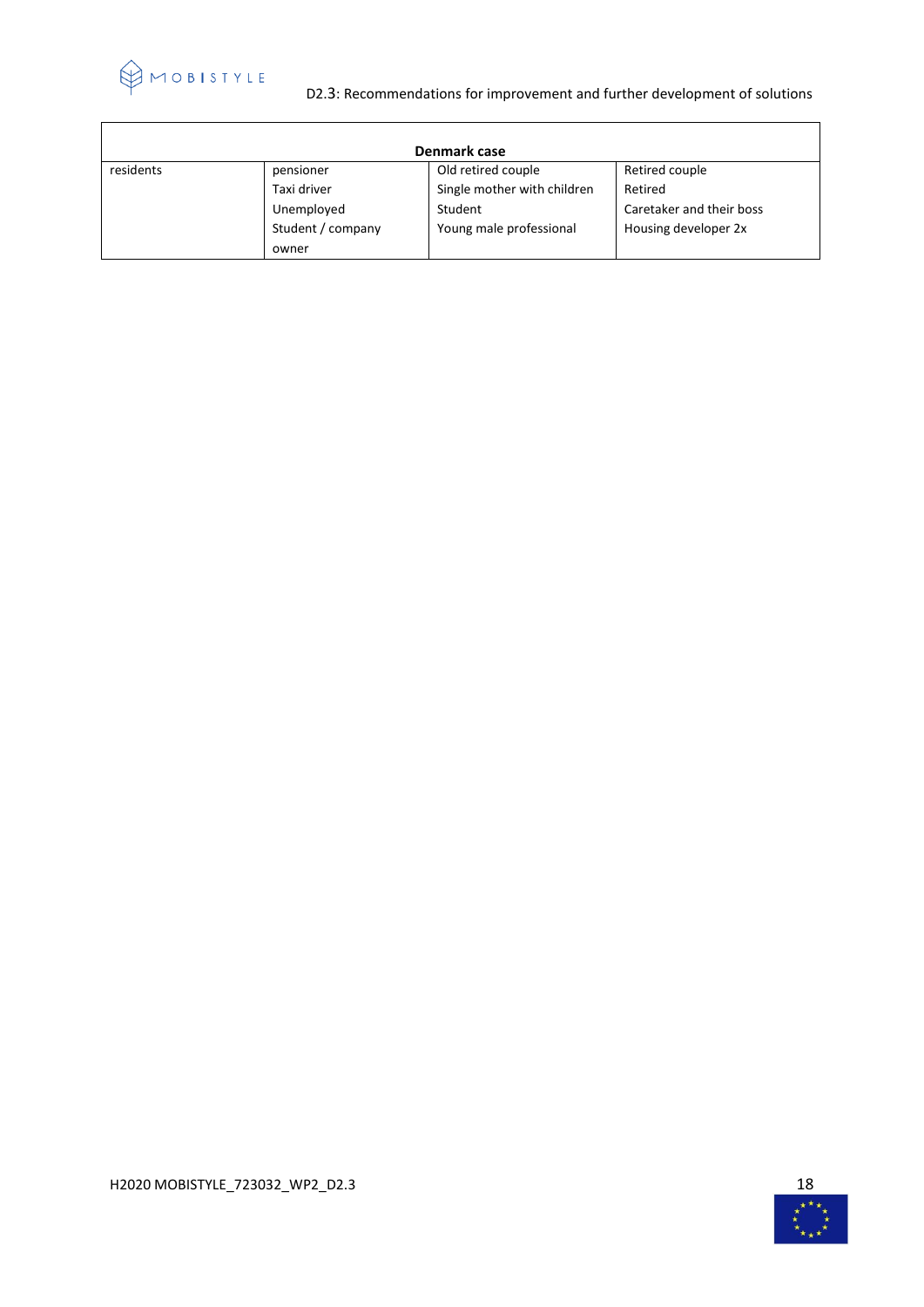

 $\overline{1}$ 

# D2.3: Recommendations for improvement and further development of solutions

| Denmark case |                   |                             |                          |  |
|--------------|-------------------|-----------------------------|--------------------------|--|
| residents    | pensioner         | Old retired couple          | Retired couple           |  |
|              | Taxi driver       | Single mother with children | Retired                  |  |
|              | Unemployed        | Student                     | Caretaker and their boss |  |
|              | Student / company | Young male professional     | Housing developer 2x     |  |
|              | owner             |                             |                          |  |



 $\overline{\phantom{a}}$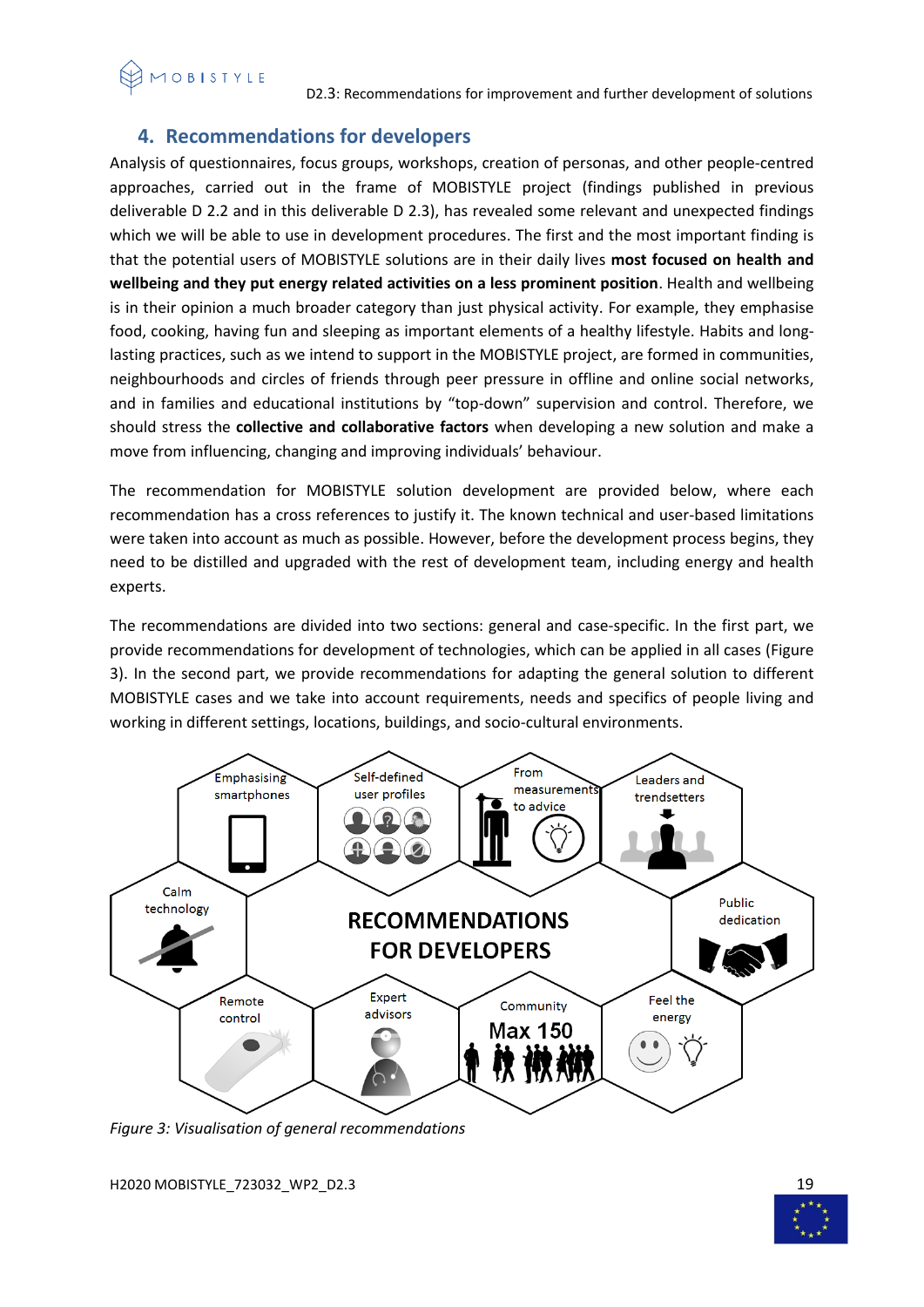D2.3: Recommendations for improvement and further development of solutions

# <span id="page-18-0"></span>**4. Recommendations for developers**

Analysis of questionnaires, focus groups, workshops, creation of personas, and other people-centred approaches, carried out in the frame of MOBISTYLE project (findings published in previous deliverable D 2.2 and in this deliverable D 2.3), has revealed some relevant and unexpected findings which we will be able to use in development procedures. The first and the most important finding is that the potential users of MOBISTYLE solutions are in their daily lives **most focused on health and wellbeing and they put energy related activities on a less prominent position**. Health and wellbeing is in their opinion a much broader category than just physical activity. For example, they emphasise food, cooking, having fun and sleeping as important elements of a healthy lifestyle. Habits and longlasting practices, such as we intend to support in the MOBISTYLE project, are formed in communities, neighbourhoods and circles of friends through peer pressure in offline and online social networks, and in families and educational institutions by "top-down" supervision and control. Therefore, we should stress the **collective and collaborative factors** when developing a new solution and make a move from influencing, changing and improving individuals' behaviour.

The recommendation for MOBISTYLE solution development are provided below, where each recommendation has a cross references to justify it. The known technical and user-based limitations were taken into account as much as possible. However, before the development process begins, they need to be distilled and upgraded with the rest of development team, including energy and health experts.

The recommendations are divided into two sections: general and case-specific. In the first part, we provide recommendations for development of technologies, which can be applied in all cases (Figure 3). In the second part, we provide recommendations for adapting the general solution to different MOBISTYLE cases and we take into account requirements, needs and specifics of people living and working in different settings, locations, buildings, and socio-cultural environments.



*Figure 3: Visualisation of general recommendations* 

H2020 MOBISTYLE\_723032\_WP2\_D2.3 19

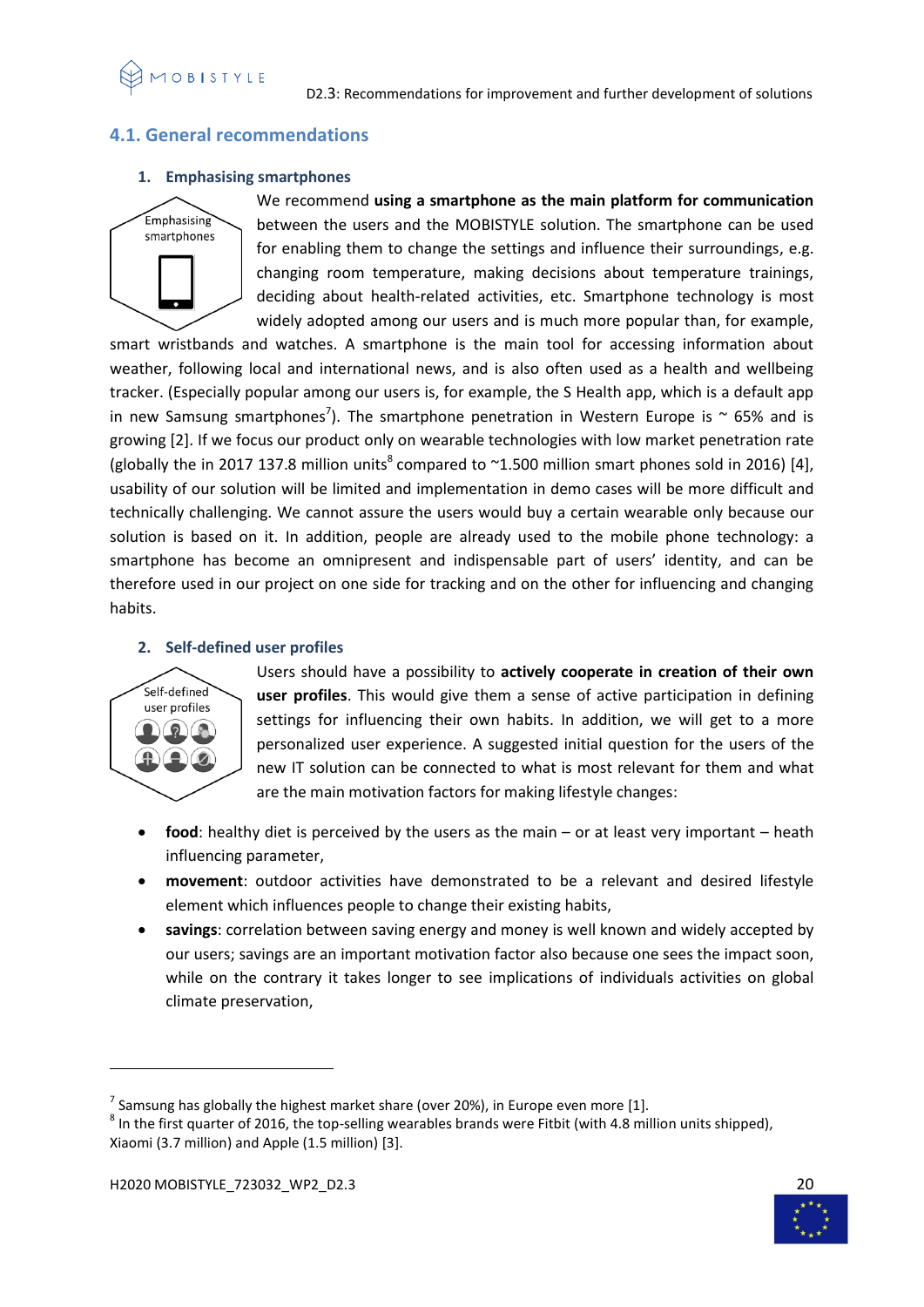

# <span id="page-19-0"></span>**4.1. General recommendations**

#### **1. Emphasising smartphones**



We recommend **using a smartphone as the main platform for communication** between the users and the MOBISTYLE solution. The smartphone can be used for enabling them to change the settings and influence their surroundings, e.g. changing room temperature, making decisions about temperature trainings, deciding about health-related activities, etc. Smartphone technology is most widely adopted among our users and is much more popular than, for example,

smart wristbands and watches. A smartphone is the main tool for accessing information about weather, following local and international news, and is also often used as a health and wellbeing tracker. (Especially popular among our users is, for example, the S Health app, which is a default app in new Samsung smartphones<sup>7</sup>). The smartphone penetration in Western Europe is  $\sim$  65% and is growing [2]. If we focus our product only on wearable technologies with low market penetration rate (globally the in 2017 137.8 million units<sup>8</sup> compared to  $\sim$ 1.500 million smart phones sold in 2016) [4], usability of our solution will be limited and implementation in demo cases will be more difficult and technically challenging. We cannot assure the users would buy a certain wearable only because our solution is based on it. In addition, people are already used to the mobile phone technology: a smartphone has become an omnipresent and indispensable part of users' identity, and can be therefore used in our project on one side for tracking and on the other for influencing and changing habits.

# **2. Self-defined user profiles**



**.** 

Users should have a possibility to **actively cooperate in creation of their own user profiles**. This would give them a sense of active participation in defining settings for influencing their own habits. In addition, we will get to a more personalized user experience. A suggested initial question for the users of the new IT solution can be connected to what is most relevant for them and what are the main motivation factors for making lifestyle changes:

- **food**: healthy diet is perceived by the users as the main or at least very important heath influencing parameter,
- **movement**: outdoor activities have demonstrated to be a relevant and desired lifestyle element which influences people to change their existing habits,
- **savings**: correlation between saving energy and money is well known and widely accepted by our users; savings are an important motivation factor also because one sees the impact soon, while on the contrary it takes longer to see implications of individuals activities on global climate preservation,



<sup>&</sup>lt;sup>7</sup> Samsung has globally the highest market share (over 20%), in Europe even more [1].

 $^8$  In the first quarter of 2016, the top-selling wearables brands were Fitbit (with 4.8 million units shipped), Xiaomi (3.7 million) and Apple (1.5 million) [3].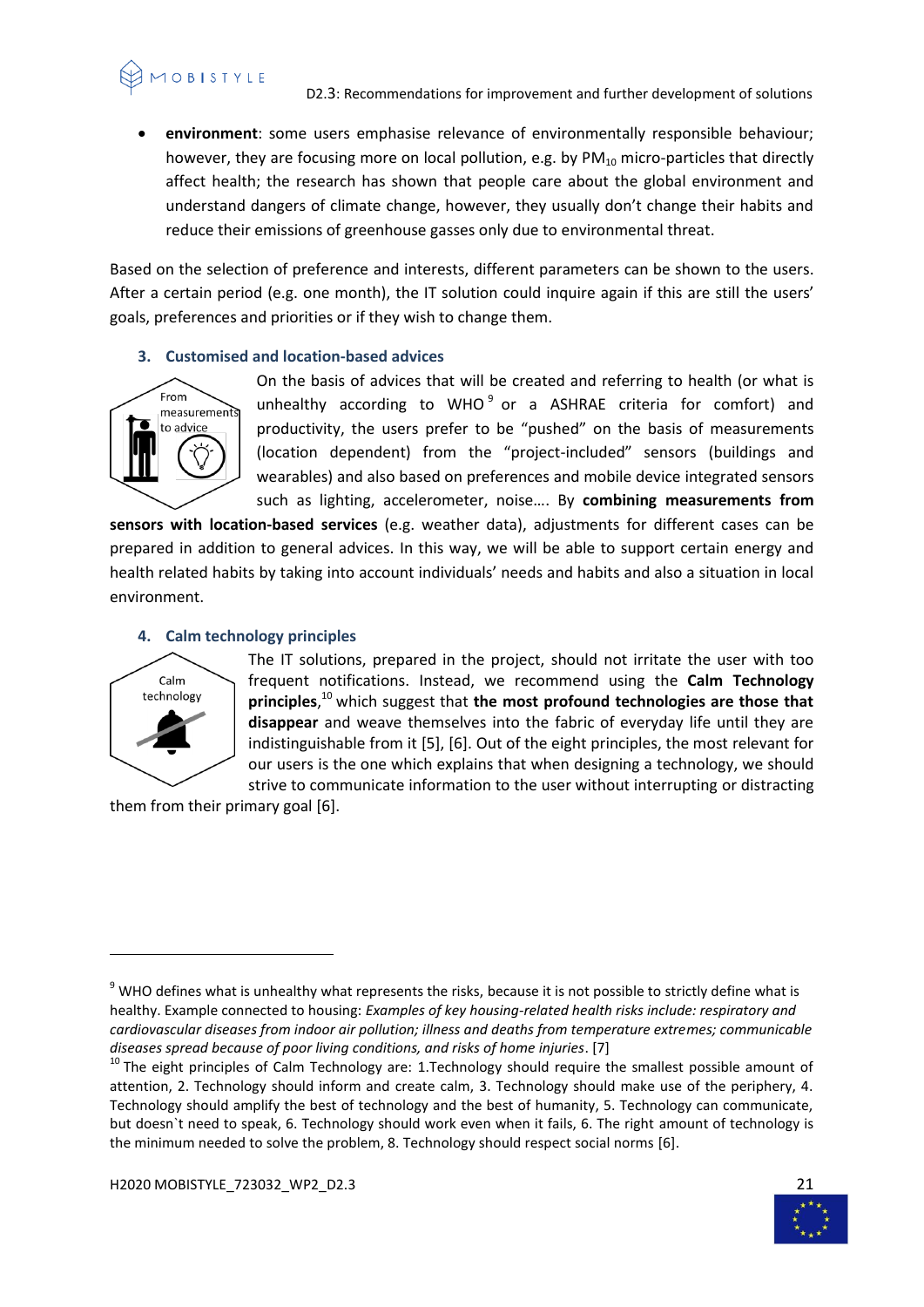**environment**: some users emphasise relevance of environmentally responsible behaviour; however, they are focusing more on local pollution, e.g. by  $PM_{10}$  micro-particles that directly affect health; the research has shown that people care about the global environment and understand dangers of climate change, however, they usually don't change their habits and reduce their emissions of greenhouse gasses only due to environmental threat.

Based on the selection of preference and interests, different parameters can be shown to the users. After a certain period (e.g. one month), the IT solution could inquire again if this are still the users' goals, preferences and priorities or if they wish to change them.

# **3. Customised and location-based advices**



**VOBISTYLE** 

On the basis of advices that will be created and referring to health (or what is unhealthy according to WHO<sup>9</sup> or a ASHRAE criteria for comfort) and productivity, the users prefer to be "pushed" on the basis of measurements (location dependent) from the "project-included" sensors (buildings and wearables) and also based on preferences and mobile device integrated sensors such as lighting, accelerometer, noise…. By **combining measurements from** 

**sensors with location-based services** (e.g. weather data), adjustments for different cases can be prepared in addition to general advices. In this way, we will be able to support certain energy and health related habits by taking into account individuals' needs and habits and also a situation in local environment.

# **4. Calm technology principles**



 $\overline{a}$ 

The IT solutions, prepared in the project, should not irritate the user with too frequent notifications. Instead, we recommend using the **Calm Technology principles**, <sup>10</sup> which suggest that **the most profound technologies are those that disappear** and weave themselves into the fabric of everyday life until they are indistinguishable from it [5], [6]. Out of the eight principles, the most relevant for our users is the one which explains that when designing a technology, we should strive to communicate information to the user without interrupting or distracting

them from their primary goal [6].



<sup>&</sup>lt;sup>9</sup> WHO defines what is unhealthy what represents the risks, because it is not possible to strictly define what is healthy. Example connected to housing: *Examples of key housing-related health risks include: respiratory and cardiovascular diseases from indoor air pollution; illness and deaths from temperature extremes; communicable diseases spread because of poor living conditions, and risks of home injuries*. [7]

 $10$  The eight principles of Calm Technology are: 1.Technology should require the smallest possible amount of attention, 2. Technology should inform and create calm, 3. Technology should make use of the periphery, 4. Technology should amplify the best of technology and the best of humanity, 5. Technology can communicate, but doesn`t need to speak, 6. Technology should work even when it fails, 6. The right amount of technology is the minimum needed to solve the problem, 8. Technology should respect social norms [6].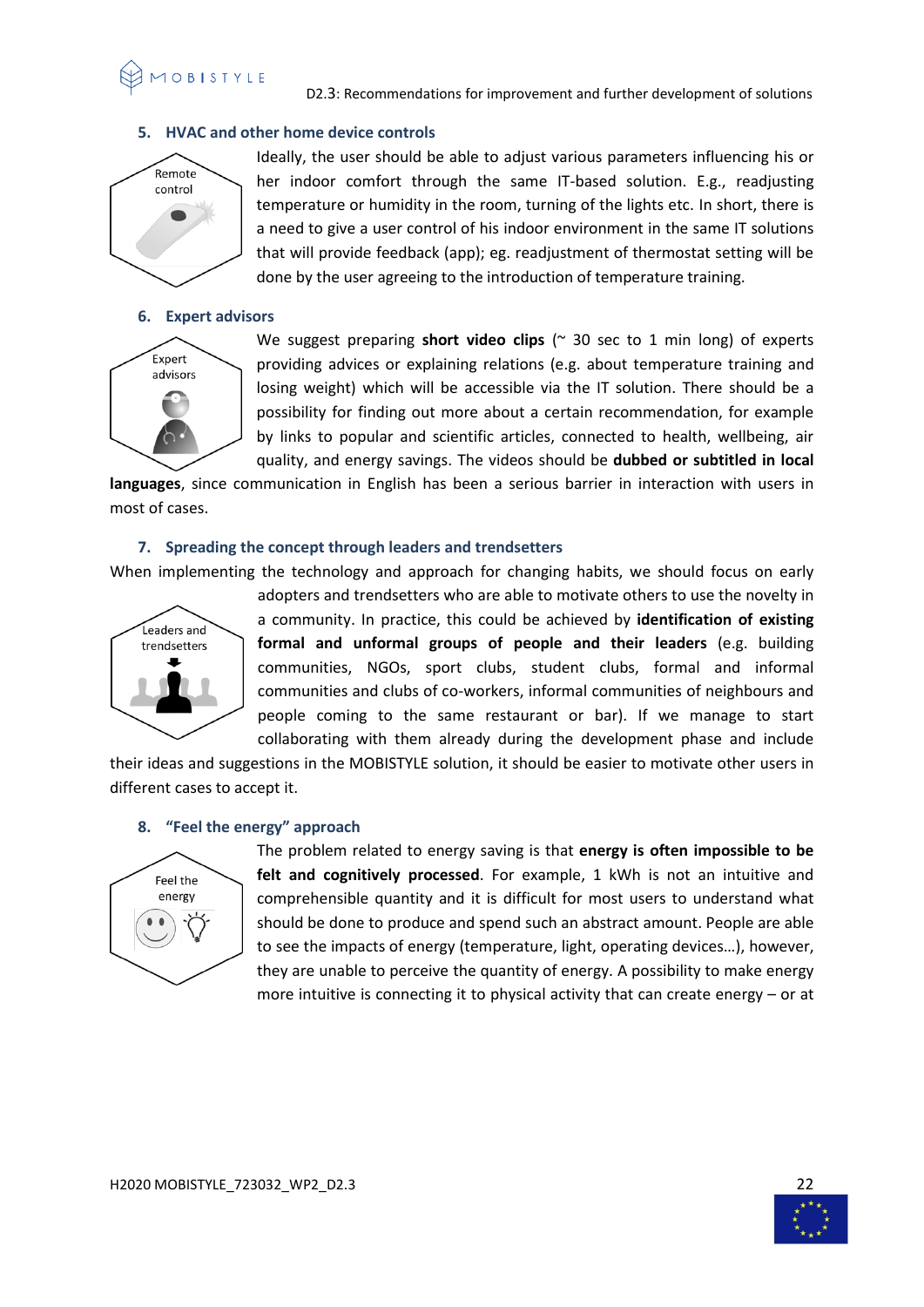

D2.3: Recommendations for improvement and further development of solutions

# **5. HVAC and other home device controls**



Ideally, the user should be able to adjust various parameters influencing his or her indoor comfort through the same IT-based solution. E.g., readjusting temperature or humidity in the room, turning of the lights etc. In short, there is a need to give a user control of his indoor environment in the same IT solutions that will provide feedback (app); eg. readjustment of thermostat setting will be done by the user agreeing to the introduction of temperature training.

#### **6. Expert advisors**



We suggest preparing **short video clips** ( $\sim$  30 sec to 1 min long) of experts providing advices or explaining relations (e.g. about temperature training and losing weight) which will be accessible via the IT solution. There should be a possibility for finding out more about a certain recommendation, for example by links to popular and scientific articles, connected to health, wellbeing, air quality, and energy savings. The videos should be **dubbed or subtitled in local** 

**languages**, since communication in English has been a serious barrier in interaction with users in most of cases.

#### **7. Spreading the concept through leaders and trendsetters**

When implementing the technology and approach for changing habits, we should focus on early



adopters and trendsetters who are able to motivate others to use the novelty in a community. In practice, this could be achieved by **identification of existing formal and unformal groups of people and their leaders** (e.g. building communities, NGOs, sport clubs, student clubs, formal and informal communities and clubs of co-workers, informal communities of neighbours and people coming to the same restaurant or bar). If we manage to start collaborating with them already during the development phase and include

their ideas and suggestions in the MOBISTYLE solution, it should be easier to motivate other users in different cases to accept it.

#### **8. "Feel the energy" approach**



The problem related to energy saving is that **energy is often impossible to be felt and cognitively processed**. For example, 1 kWh is not an intuitive and comprehensible quantity and it is difficult for most users to understand what should be done to produce and spend such an abstract amount. People are able to see the impacts of energy (temperature, light, operating devices…), however, they are unable to perceive the quantity of energy. A possibility to make energy more intuitive is connecting it to physical activity that can create energy – or at

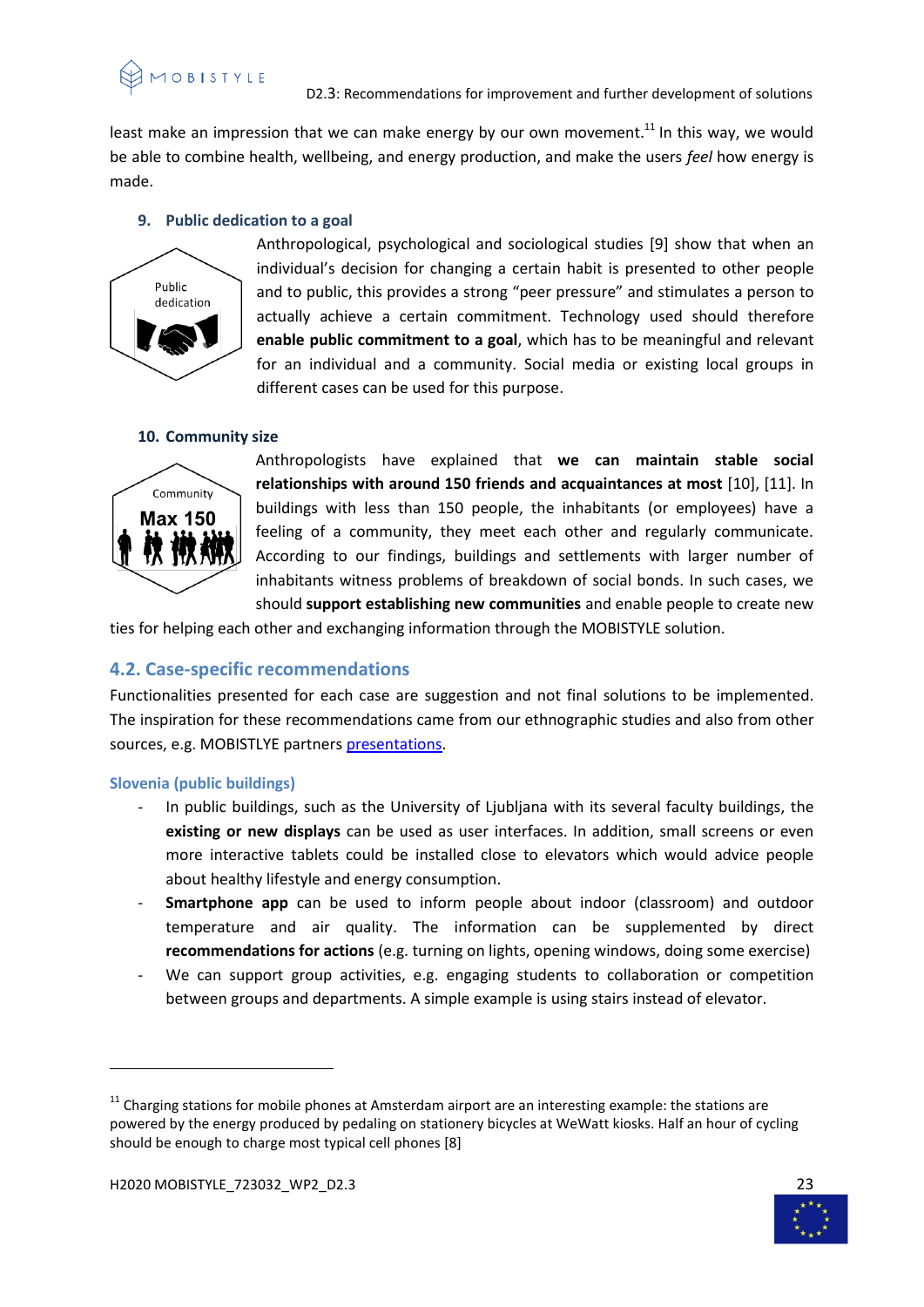least make an impression that we can make energy by our own movement.<sup>11</sup> In this way, we would be able to combine health, wellbeing, and energy production, and make the users *feel* how energy is made.

#### **9. Public dedication to a goal**



Anthropological, psychological and sociological studies [9] show that when an individual's decision for changing a certain habit is presented to other people and to public, this provides a strong "peer pressure" and stimulates a person to actually achieve a certain commitment. Technology used should therefore **enable public commitment to a goal**, which has to be meaningful and relevant for an individual and a community. Social media or existing local groups in different cases can be used for this purpose.

# **10. Community size**



Anthropologists have explained that **we can maintain stable social relationships with around 150 friends and acquaintances at most** [10], [11]. In buildings with less than 150 people, the inhabitants (or employees) have a feeling of a community, they meet each other and regularly communicate. According to our findings, buildings and settlements with larger number of inhabitants witness problems of breakdown of social bonds. In such cases, we should **support establishing new communities** and enable people to create new

ties for helping each other and exchanging information through the MOBISTYLE solution.

# <span id="page-22-0"></span>**4.2. Case-specific recommendations**

Functionalities presented for each case are suggestion and not final solutions to be implemented. The inspiration for these recommendations came from our ethnographic studies and also from other sources, e.g. MOBISTLYE partners [presentations.](https://www.mobistyle-project.org/Shared%20Documents/03%20Consortium,%20stakeholders%20and%20meetings/03%20Consortium%20meetings/02%20Ljubljana,%20Slovenia/02%20Presentations/MOBISTYLE_WP5_HOLX_Day1_Ljubljana.pptx)

#### <span id="page-22-1"></span>**Slovenia (public buildings)**

- In public buildings, such as the University of Ljubljana with its several faculty buildings, the **existing or new displays** can be used as user interfaces. In addition, small screens or even more interactive tablets could be installed close to elevators which would advice people about healthy lifestyle and energy consumption.
- **Smartphone app** can be used to inform people about indoor (classroom) and outdoor temperature and air quality. The information can be supplemented by direct **recommendations for actions** (e.g. turning on lights, opening windows, doing some exercise)
- We can support group activities, e.g. engaging students to collaboration or competition between groups and departments. A simple example is using stairs instead of elevator.

**.** 



 $11$  Charging stations for mobile phones at Amsterdam airport are an interesting example: the stations are powered by the energy produced by pedaling on stationery bicycles at WeWatt kiosks. Half an hour of cycling should be enough to charge most typical cell phones [8]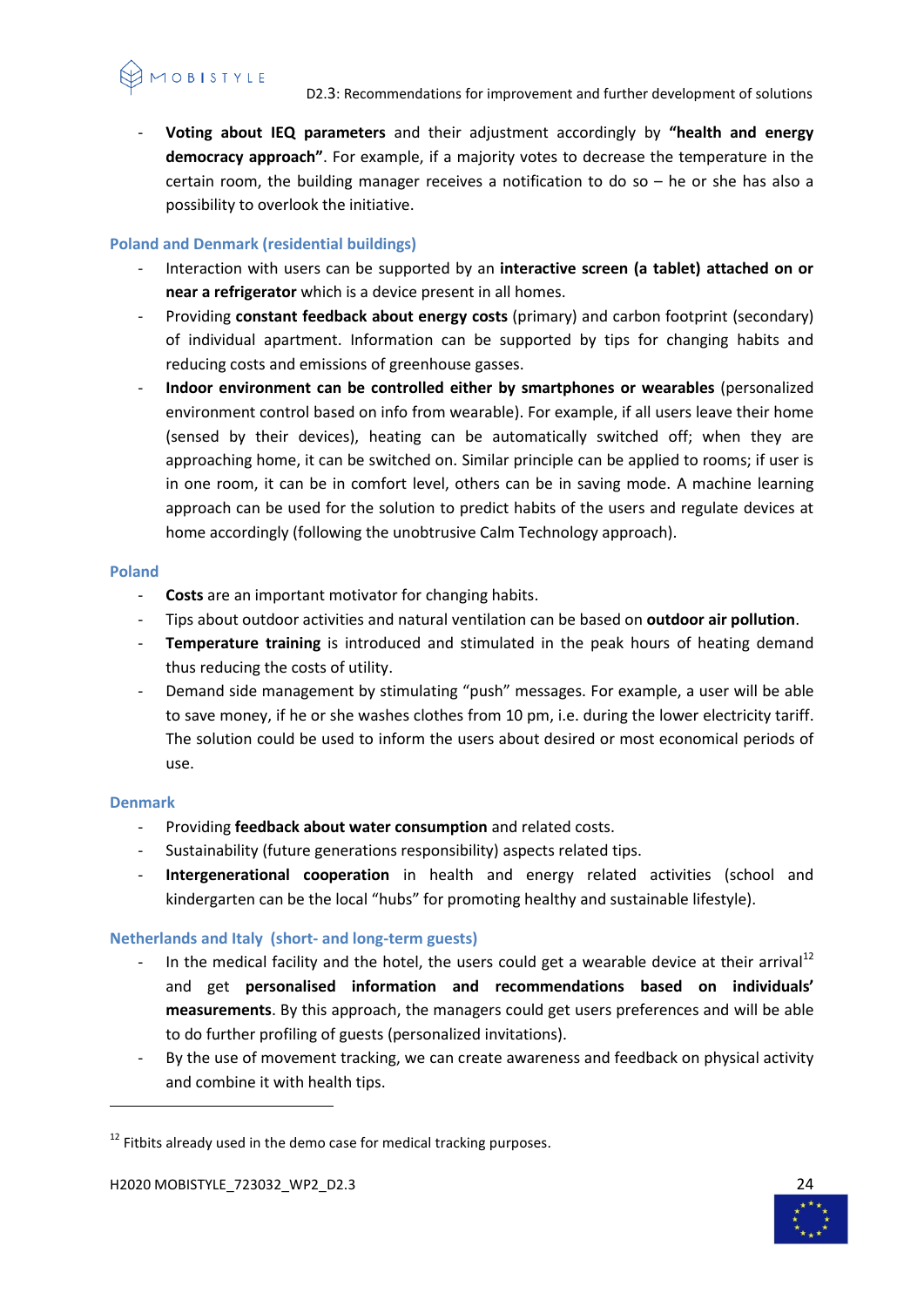

- **Voting about IEQ parameters** and their adjustment accordingly by **"health and energy democracy approach"**. For example, if a majority votes to decrease the temperature in the certain room, the building manager receives a notification to do so – he or she has also a possibility to overlook the initiative.

# <span id="page-23-0"></span>**Poland and Denmark (residential buildings)**

- Interaction with users can be supported by an **interactive screen (a tablet) attached on or near a refrigerator** which is a device present in all homes.
- Providing **constant feedback about energy costs** (primary) and carbon footprint (secondary) of individual apartment. Information can be supported by tips for changing habits and reducing costs and emissions of greenhouse gasses.
- **Indoor environment can be controlled either by smartphones or wearables** (personalized environment control based on info from wearable). For example, if all users leave their home (sensed by their devices), heating can be automatically switched off; when they are approaching home, it can be switched on. Similar principle can be applied to rooms; if user is in one room, it can be in comfort level, others can be in saving mode. A machine learning approach can be used for the solution to predict habits of the users and regulate devices at home accordingly (following the unobtrusive Calm Technology approach).

# <span id="page-23-1"></span>**Poland**

- **Costs** are an important motivator for changing habits.
- Tips about outdoor activities and natural ventilation can be based on **outdoor air pollution**.
- **Temperature training** is introduced and stimulated in the peak hours of heating demand thus reducing the costs of utility.
- Demand side management by stimulating "push" messages. For example, a user will be able to save money, if he or she washes clothes from 10 pm, i.e. during the lower electricity tariff. The solution could be used to inform the users about desired or most economical periods of use.

# <span id="page-23-2"></span>**Denmark**

**.** 

- Providing **feedback about water consumption** and related costs.
- Sustainability (future generations responsibility) aspects related tips.
- **Intergenerational cooperation** in health and energy related activities (school and kindergarten can be the local "hubs" for promoting healthy and sustainable lifestyle).

# <span id="page-23-3"></span>**Netherlands and Italy (short- and long-term guests)**

- In the medical facility and the hotel, the users could get a wearable device at their arrival<sup>12</sup> and get **personalised information and recommendations based on individuals' measurements**. By this approach, the managers could get users preferences and will be able to do further profiling of guests (personalized invitations).
- By the use of movement tracking, we can create awareness and feedback on physical activity and combine it with health tips.



 $12$  Fitbits already used in the demo case for medical tracking purposes.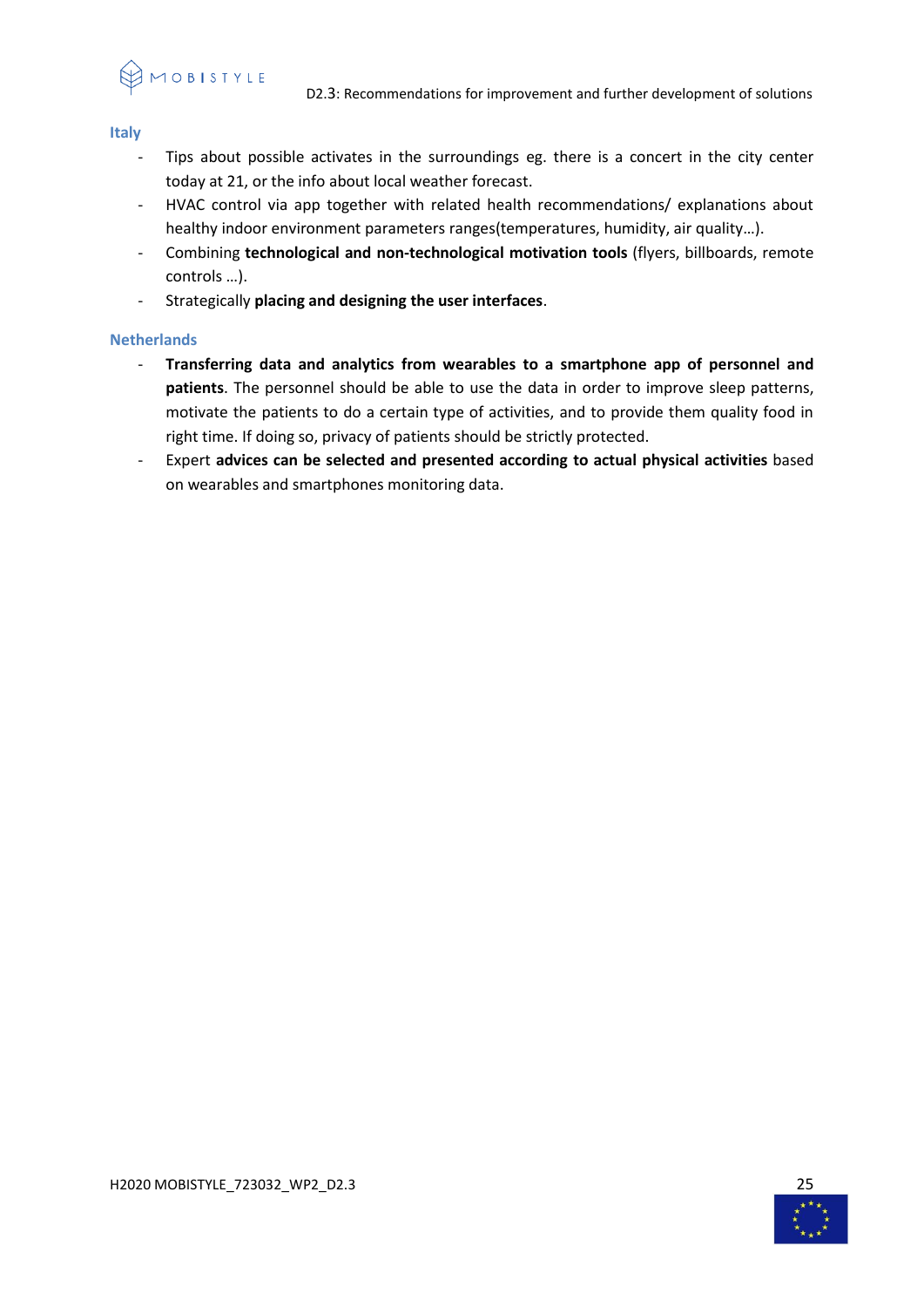10 B I S T Y L E

#### <span id="page-24-0"></span>**Italy**

- Tips about possible activates in the surroundings eg. there is a concert in the city center today at 21, or the info about local weather forecast.
- HVAC control via app together with related health recommendations/ explanations about healthy indoor environment parameters ranges(temperatures, humidity, air quality…).
- Combining **technological and non-technological motivation tools** (flyers, billboards, remote controls …).
- Strategically **placing and designing the user interfaces**.

# <span id="page-24-1"></span>**Netherlands**

- **Transferring data and analytics from wearables to a smartphone app of personnel and patients**. The personnel should be able to use the data in order to improve sleep patterns, motivate the patients to do a certain type of activities, and to provide them quality food in right time. If doing so, privacy of patients should be strictly protected.
- Expert **advices can be selected and presented according to actual physical activities** based on wearables and smartphones monitoring data.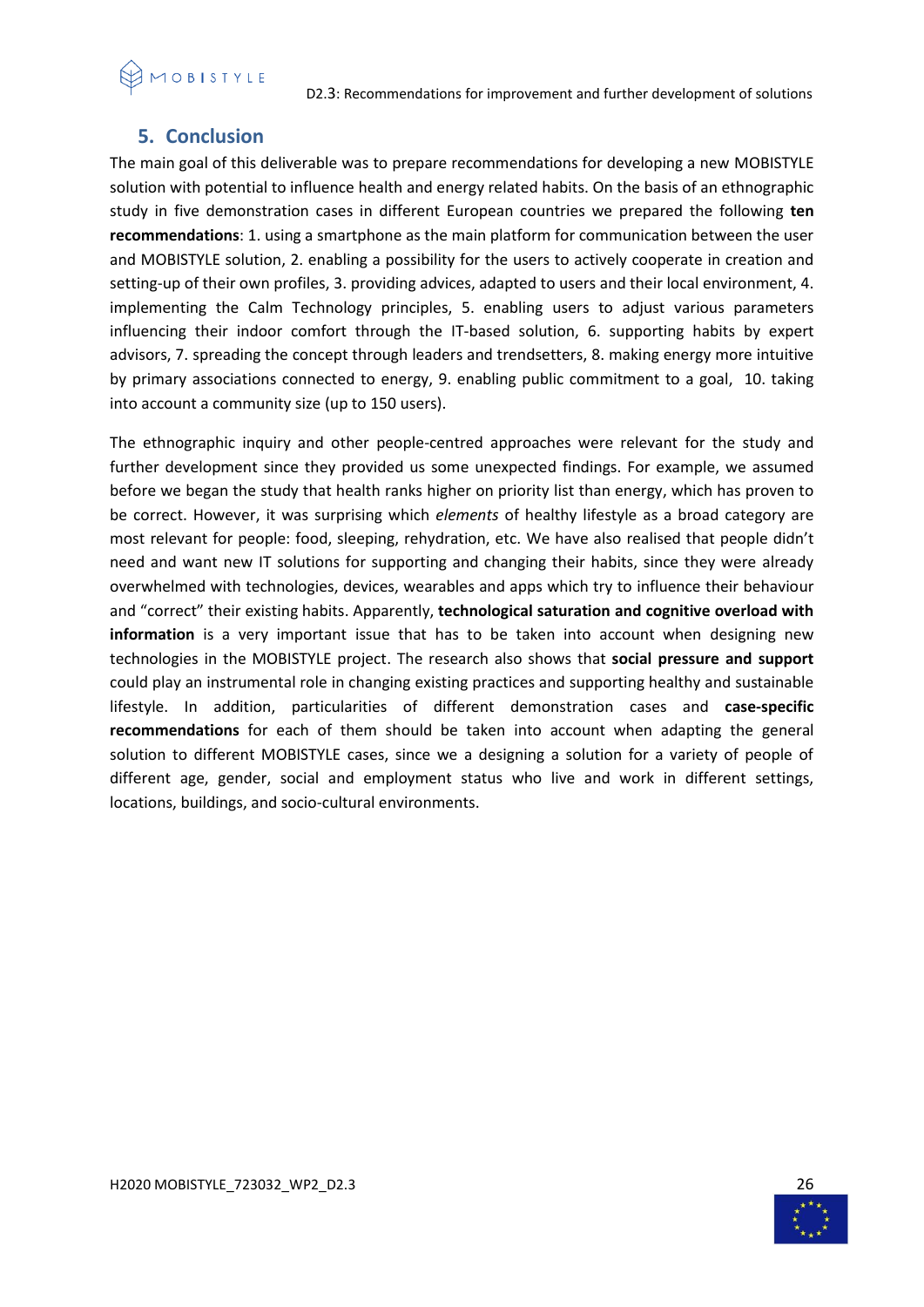# <span id="page-25-0"></span>**5. Conclusion**

The main goal of this deliverable was to prepare recommendations for developing a new MOBISTYLE solution with potential to influence health and energy related habits. On the basis of an ethnographic study in five demonstration cases in different European countries we prepared the following **ten recommendations**: 1. using a smartphone as the main platform for communication between the user and MOBISTYLE solution, 2. enabling a possibility for the users to actively cooperate in creation and setting-up of their own profiles, 3. providing advices, adapted to users and their local environment, 4. implementing the Calm Technology principles, 5. enabling users to adjust various parameters influencing their indoor comfort through the IT-based solution, 6. supporting habits by expert advisors, 7. spreading the concept through leaders and trendsetters, 8. making energy more intuitive by primary associations connected to energy, 9. enabling public commitment to a goal, 10. taking into account a community size (up to 150 users).

The ethnographic inquiry and other people-centred approaches were relevant for the study and further development since they provided us some unexpected findings. For example, we assumed before we began the study that health ranks higher on priority list than energy, which has proven to be correct. However, it was surprising which *elements* of healthy lifestyle as a broad category are most relevant for people: food, sleeping, rehydration, etc. We have also realised that people didn't need and want new IT solutions for supporting and changing their habits, since they were already overwhelmed with technologies, devices, wearables and apps which try to influence their behaviour and "correct" their existing habits. Apparently, **technological saturation and cognitive overload with information** is a very important issue that has to be taken into account when designing new technologies in the MOBISTYLE project. The research also shows that **social pressure and support** could play an instrumental role in changing existing practices and supporting healthy and sustainable lifestyle. In addition, particularities of different demonstration cases and **case-specific recommendations** for each of them should be taken into account when adapting the general solution to different MOBISTYLE cases, since we a designing a solution for a variety of people of different age, gender, social and employment status who live and work in different settings, locations, buildings, and socio-cultural environments.